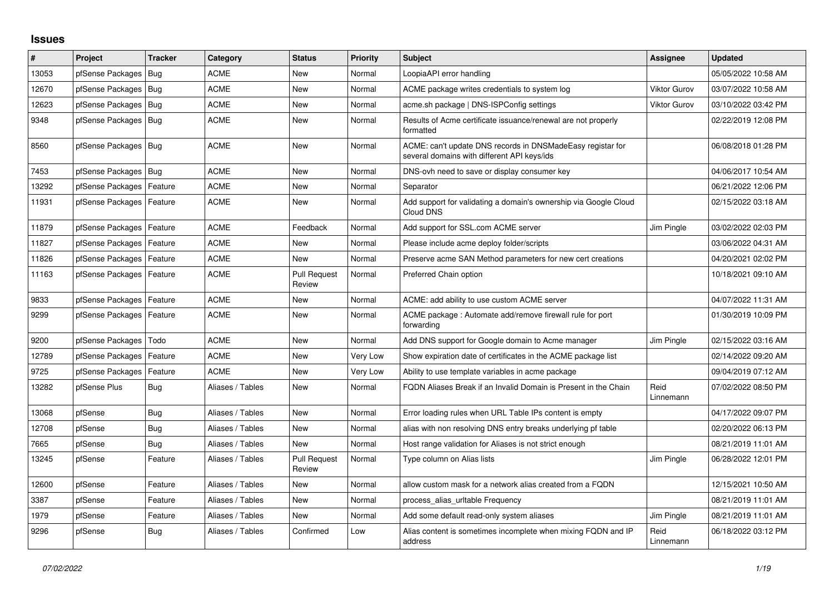## **Issues**

| #     | Project                    | <b>Tracker</b> | Category         | <b>Status</b>                 | <b>Priority</b> | <b>Subject</b>                                                                                            | Assignee            | <b>Updated</b>      |
|-------|----------------------------|----------------|------------------|-------------------------------|-----------------|-----------------------------------------------------------------------------------------------------------|---------------------|---------------------|
| 13053 | pfSense Packages           | Bug            | <b>ACME</b>      | <b>New</b>                    | Normal          | LoopiaAPI error handling                                                                                  |                     | 05/05/2022 10:58 AM |
| 12670 | pfSense Packages           | <b>Bug</b>     | <b>ACME</b>      | <b>New</b>                    | Normal          | ACME package writes credentials to system log                                                             | <b>Viktor Gurov</b> | 03/07/2022 10:58 AM |
| 12623 | pfSense Packages           | Bug            | <b>ACME</b>      | <b>New</b>                    | Normal          | acme.sh package   DNS-ISPConfig settings                                                                  | <b>Viktor Gurov</b> | 03/10/2022 03:42 PM |
| 9348  | pfSense Packages           | Bug            | <b>ACME</b>      | <b>New</b>                    | Normal          | Results of Acme certificate issuance/renewal are not properly<br>formatted                                |                     | 02/22/2019 12:08 PM |
| 8560  | pfSense Packages           | Bug            | <b>ACME</b>      | <b>New</b>                    | Normal          | ACME: can't update DNS records in DNSMadeEasy registar for<br>several domains with different API keys/ids |                     | 06/08/2018 01:28 PM |
| 7453  | pfSense Packages           | Bug            | <b>ACME</b>      | New                           | Normal          | DNS-ovh need to save or display consumer key                                                              |                     | 04/06/2017 10:54 AM |
| 13292 | pfSense Packages           | Feature        | <b>ACME</b>      | <b>New</b>                    | Normal          | Separator                                                                                                 |                     | 06/21/2022 12:06 PM |
| 11931 | pfSense Packages   Feature |                | <b>ACME</b>      | <b>New</b>                    | Normal          | Add support for validating a domain's ownership via Google Cloud<br>Cloud DNS                             |                     | 02/15/2022 03:18 AM |
| 11879 | pfSense Packages           | Feature        | <b>ACME</b>      | Feedback                      | Normal          | Add support for SSL.com ACME server                                                                       | Jim Pingle          | 03/02/2022 02:03 PM |
| 11827 | pfSense Packages   Feature |                | <b>ACME</b>      | <b>New</b>                    | Normal          | Please include acme deploy folder/scripts                                                                 |                     | 03/06/2022 04:31 AM |
| 11826 | pfSense Packages           | Feature        | <b>ACME</b>      | <b>New</b>                    | Normal          | Preserve acme SAN Method parameters for new cert creations                                                |                     | 04/20/2021 02:02 PM |
| 11163 | pfSense Packages           | Feature        | <b>ACME</b>      | <b>Pull Request</b><br>Review | Normal          | Preferred Chain option                                                                                    |                     | 10/18/2021 09:10 AM |
| 9833  | pfSense Packages           | Feature        | <b>ACME</b>      | <b>New</b>                    | Normal          | ACME: add ability to use custom ACME server                                                               |                     | 04/07/2022 11:31 AM |
| 9299  | pfSense Packages   Feature |                | <b>ACME</b>      | <b>New</b>                    | Normal          | ACME package : Automate add/remove firewall rule for port<br>forwarding                                   |                     | 01/30/2019 10:09 PM |
| 9200  | pfSense Packages           | Todo           | <b>ACME</b>      | <b>New</b>                    | Normal          | Add DNS support for Google domain to Acme manager                                                         | Jim Pingle          | 02/15/2022 03:16 AM |
| 12789 | pfSense Packages           | Feature        | <b>ACME</b>      | <b>New</b>                    | Very Low        | Show expiration date of certificates in the ACME package list                                             |                     | 02/14/2022 09:20 AM |
| 9725  | pfSense Packages           | Feature        | <b>ACME</b>      | <b>New</b>                    | Very Low        | Ability to use template variables in acme package                                                         |                     | 09/04/2019 07:12 AM |
| 13282 | pfSense Plus               | Bug            | Aliases / Tables | <b>New</b>                    | Normal          | FQDN Aliases Break if an Invalid Domain is Present in the Chain                                           | Reid<br>Linnemann   | 07/02/2022 08:50 PM |
| 13068 | pfSense                    | <b>Bug</b>     | Aliases / Tables | New                           | Normal          | Error loading rules when URL Table IPs content is empty                                                   |                     | 04/17/2022 09:07 PM |
| 12708 | pfSense                    | Bug            | Aliases / Tables | <b>New</b>                    | Normal          | alias with non resolving DNS entry breaks underlying pf table                                             |                     | 02/20/2022 06:13 PM |
| 7665  | pfSense                    | Bug            | Aliases / Tables | <b>New</b>                    | Normal          | Host range validation for Aliases is not strict enough                                                    |                     | 08/21/2019 11:01 AM |
| 13245 | pfSense                    | Feature        | Aliases / Tables | <b>Pull Request</b><br>Review | Normal          | Type column on Alias lists                                                                                | Jim Pingle          | 06/28/2022 12:01 PM |
| 12600 | pfSense                    | Feature        | Aliases / Tables | <b>New</b>                    | Normal          | allow custom mask for a network alias created from a FQDN                                                 |                     | 12/15/2021 10:50 AM |
| 3387  | pfSense                    | Feature        | Aliases / Tables | <b>New</b>                    | Normal          | process alias uritable Frequency                                                                          |                     | 08/21/2019 11:01 AM |
| 1979  | pfSense                    | Feature        | Aliases / Tables | <b>New</b>                    | Normal          | Add some default read-only system aliases                                                                 | Jim Pingle          | 08/21/2019 11:01 AM |
| 9296  | pfSense                    | Bug            | Aliases / Tables | Confirmed                     | Low             | Alias content is sometimes incomplete when mixing FQDN and IP<br>address                                  | Reid<br>Linnemann   | 06/18/2022 03:12 PM |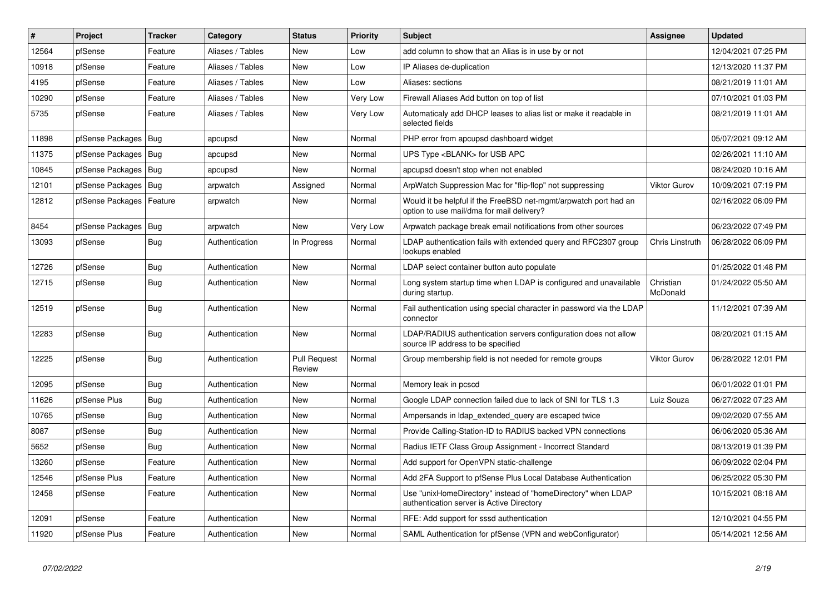| #     | Project                | <b>Tracker</b> | Category         | <b>Status</b>                 | Priority        | <b>Subject</b>                                                                                                | Assignee              | <b>Updated</b>      |
|-------|------------------------|----------------|------------------|-------------------------------|-----------------|---------------------------------------------------------------------------------------------------------------|-----------------------|---------------------|
| 12564 | pfSense                | Feature        | Aliases / Tables | New                           | Low             | add column to show that an Alias is in use by or not                                                          |                       | 12/04/2021 07:25 PM |
| 10918 | pfSense                | Feature        | Aliases / Tables | <b>New</b>                    | Low             | IP Aliases de-duplication                                                                                     |                       | 12/13/2020 11:37 PM |
| 4195  | pfSense                | Feature        | Aliases / Tables | New                           | Low             | Aliases: sections                                                                                             |                       | 08/21/2019 11:01 AM |
| 10290 | pfSense                | Feature        | Aliases / Tables | <b>New</b>                    | <b>Very Low</b> | Firewall Aliases Add button on top of list                                                                    |                       | 07/10/2021 01:03 PM |
| 5735  | pfSense                | Feature        | Aliases / Tables | <b>New</b>                    | Very Low        | Automaticaly add DHCP leases to alias list or make it readable in<br>selected fields                          |                       | 08/21/2019 11:01 AM |
| 11898 | pfSense Packages       | Bug            | apcupsd          | <b>New</b>                    | Normal          | PHP error from apcupsd dashboard widget                                                                       |                       | 05/07/2021 09:12 AM |
| 11375 | pfSense Packages       | Bug            | apcupsd          | New                           | Normal          | UPS Type <blank> for USB APC</blank>                                                                          |                       | 02/26/2021 11:10 AM |
| 10845 | pfSense Packages   Bug |                | apcupsd          | New                           | Normal          | apcupsd doesn't stop when not enabled                                                                         |                       | 08/24/2020 10:16 AM |
| 12101 | pfSense Packages   Bug |                | arpwatch         | Assigned                      | Normal          | ArpWatch Suppression Mac for "flip-flop" not suppressing                                                      | <b>Viktor Gurov</b>   | 10/09/2021 07:19 PM |
| 12812 | pfSense Packages       | Feature        | arpwatch         | New                           | Normal          | Would it be helpful if the FreeBSD net-mgmt/arpwatch port had an<br>option to use mail/dma for mail delivery? |                       | 02/16/2022 06:09 PM |
| 8454  | pfSense Packages   Bug |                | arpwatch         | <b>New</b>                    | Very Low        | Arpwatch package break email notifications from other sources                                                 |                       | 06/23/2022 07:49 PM |
| 13093 | pfSense                | Bug            | Authentication   | In Progress                   | Normal          | LDAP authentication fails with extended query and RFC2307 group<br>lookups enabled                            | Chris Linstruth       | 06/28/2022 06:09 PM |
| 12726 | pfSense                | <b>Bug</b>     | Authentication   | New                           | Normal          | LDAP select container button auto populate                                                                    |                       | 01/25/2022 01:48 PM |
| 12715 | pfSense                | Bug            | Authentication   | <b>New</b>                    | Normal          | Long system startup time when LDAP is configured and unavailable<br>during startup.                           | Christian<br>McDonald | 01/24/2022 05:50 AM |
| 12519 | pfSense                | <b>Bug</b>     | Authentication   | <b>New</b>                    | Normal          | Fail authentication using special character in password via the LDAP<br>connector                             |                       | 11/12/2021 07:39 AM |
| 12283 | pfSense                | Bug            | Authentication   | New                           | Normal          | LDAP/RADIUS authentication servers configuration does not allow<br>source IP address to be specified          |                       | 08/20/2021 01:15 AM |
| 12225 | pfSense                | Bug            | Authentication   | <b>Pull Request</b><br>Review | Normal          | Group membership field is not needed for remote groups                                                        | <b>Viktor Gurov</b>   | 06/28/2022 12:01 PM |
| 12095 | pfSense                | <b>Bug</b>     | Authentication   | <b>New</b>                    | Normal          | Memory leak in pcscd                                                                                          |                       | 06/01/2022 01:01 PM |
| 11626 | pfSense Plus           | Bug            | Authentication   | New                           | Normal          | Google LDAP connection failed due to lack of SNI for TLS 1.3                                                  | Luiz Souza            | 06/27/2022 07:23 AM |
| 10765 | pfSense                | <b>Bug</b>     | Authentication   | New                           | Normal          | Ampersands in Idap_extended_query are escaped twice                                                           |                       | 09/02/2020 07:55 AM |
| 8087  | pfSense                | Bug            | Authentication   | New                           | Normal          | Provide Calling-Station-ID to RADIUS backed VPN connections                                                   |                       | 06/06/2020 05:36 AM |
| 5652  | pfSense                | Bug            | Authentication   | New                           | Normal          | Radius IETF Class Group Assignment - Incorrect Standard                                                       |                       | 08/13/2019 01:39 PM |
| 13260 | pfSense                | Feature        | Authentication   | New                           | Normal          | Add support for OpenVPN static-challenge                                                                      |                       | 06/09/2022 02:04 PM |
| 12546 | pfSense Plus           | Feature        | Authentication   | New                           | Normal          | Add 2FA Support to pfSense Plus Local Database Authentication                                                 |                       | 06/25/2022 05:30 PM |
| 12458 | pfSense                | Feature        | Authentication   | <b>New</b>                    | Normal          | Use "unixHomeDirectory" instead of "homeDirectory" when LDAP<br>authentication server is Active Directory     |                       | 10/15/2021 08:18 AM |
| 12091 | pfSense                | Feature        | Authentication   | <b>New</b>                    | Normal          | RFE: Add support for sssd authentication                                                                      |                       | 12/10/2021 04:55 PM |
| 11920 | pfSense Plus           | Feature        | Authentication   | New                           | Normal          | SAML Authentication for pfSense (VPN and webConfigurator)                                                     |                       | 05/14/2021 12:56 AM |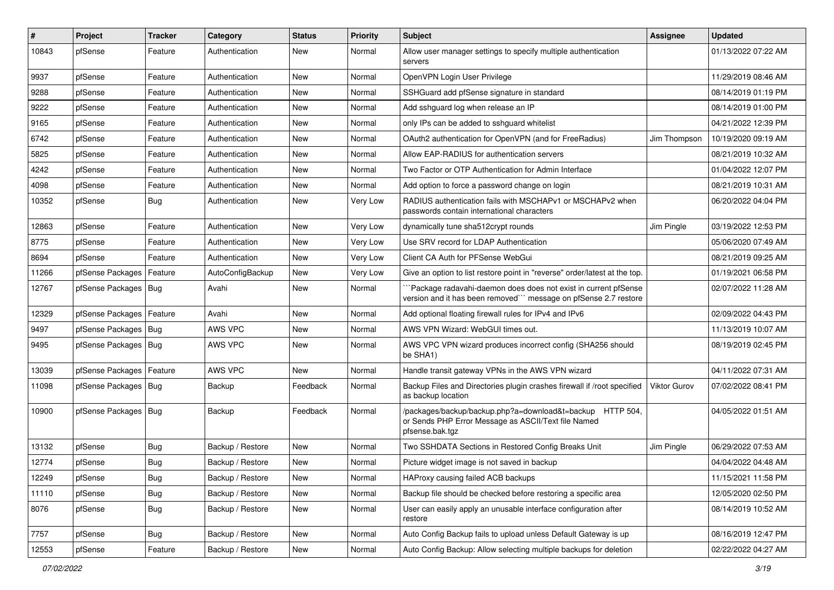| #     | Project                | <b>Tracker</b> | Category         | <b>Status</b> | <b>Priority</b> | <b>Subject</b>                                                                                                                      | <b>Assignee</b> | <b>Updated</b>      |
|-------|------------------------|----------------|------------------|---------------|-----------------|-------------------------------------------------------------------------------------------------------------------------------------|-----------------|---------------------|
| 10843 | pfSense                | Feature        | Authentication   | New           | Normal          | Allow user manager settings to specify multiple authentication<br>servers                                                           |                 | 01/13/2022 07:22 AM |
| 9937  | pfSense                | Feature        | Authentication   | New           | Normal          | OpenVPN Login User Privilege                                                                                                        |                 | 11/29/2019 08:46 AM |
| 9288  | pfSense                | Feature        | Authentication   | New           | Normal          | SSHGuard add pfSense signature in standard                                                                                          |                 | 08/14/2019 01:19 PM |
| 9222  | pfSense                | Feature        | Authentication   | New           | Normal          | Add sshguard log when release an IP                                                                                                 |                 | 08/14/2019 01:00 PM |
| 9165  | pfSense                | Feature        | Authentication   | New           | Normal          | only IPs can be added to sshguard whitelist                                                                                         |                 | 04/21/2022 12:39 PM |
| 6742  | pfSense                | Feature        | Authentication   | New           | Normal          | OAuth2 authentication for OpenVPN (and for FreeRadius)                                                                              | Jim Thompson    | 10/19/2020 09:19 AM |
| 5825  | pfSense                | Feature        | Authentication   | New           | Normal          | Allow EAP-RADIUS for authentication servers                                                                                         |                 | 08/21/2019 10:32 AM |
| 4242  | pfSense                | Feature        | Authentication   | New           | Normal          | Two Factor or OTP Authentication for Admin Interface                                                                                |                 | 01/04/2022 12:07 PM |
| 4098  | pfSense                | Feature        | Authentication   | New           | Normal          | Add option to force a password change on login                                                                                      |                 | 08/21/2019 10:31 AM |
| 10352 | pfSense                | <b>Bug</b>     | Authentication   | New           | Very Low        | RADIUS authentication fails with MSCHAPv1 or MSCHAPv2 when<br>passwords contain international characters                            |                 | 06/20/2022 04:04 PM |
| 12863 | pfSense                | Feature        | Authentication   | New           | Very Low        | dynamically tune sha512crypt rounds                                                                                                 | Jim Pingle      | 03/19/2022 12:53 PM |
| 8775  | pfSense                | Feature        | Authentication   | New           | Very Low        | Use SRV record for LDAP Authentication                                                                                              |                 | 05/06/2020 07:49 AM |
| 8694  | pfSense                | Feature        | Authentication   | New           | Very Low        | Client CA Auth for PFSense WebGui                                                                                                   |                 | 08/21/2019 09:25 AM |
| 11266 | pfSense Packages       | Feature        | AutoConfigBackup | New           | Very Low        | Give an option to list restore point in "reverse" order/latest at the top.                                                          |                 | 01/19/2021 06:58 PM |
| 12767 | pfSense Packages   Bug |                | Avahi            | New           | Normal          | `Package radavahi-daemon does does not exist in current pfSense<br>version and it has been removed" message on pfSense 2.7 restore  |                 | 02/07/2022 11:28 AM |
| 12329 | pfSense Packages       | Feature        | Avahi            | New           | Normal          | Add optional floating firewall rules for IPv4 and IPv6                                                                              |                 | 02/09/2022 04:43 PM |
| 9497  | pfSense Packages   Bug |                | AWS VPC          | New           | Normal          | AWS VPN Wizard: WebGUI times out.                                                                                                   |                 | 11/13/2019 10:07 AM |
| 9495  | pfSense Packages       | Bug            | AWS VPC          | New           | Normal          | AWS VPC VPN wizard produces incorrect config (SHA256 should<br>be SHA1)                                                             |                 | 08/19/2019 02:45 PM |
| 13039 | pfSense Packages       | Feature        | AWS VPC          | New           | Normal          | Handle transit gateway VPNs in the AWS VPN wizard                                                                                   |                 | 04/11/2022 07:31 AM |
| 11098 | pfSense Packages   Bug |                | Backup           | Feedback      | Normal          | Backup Files and Directories plugin crashes firewall if /root specified<br>as backup location                                       | Viktor Gurov    | 07/02/2022 08:41 PM |
| 10900 | pfSense Packages   Bug |                | Backup           | Feedback      | Normal          | /packages/backup/backup.php?a=download&t=backup HTTP 504,<br>or Sends PHP Error Message as ASCII/Text file Named<br>pfsense.bak.tqz |                 | 04/05/2022 01:51 AM |
| 13132 | pfSense                | Bug            | Backup / Restore | <b>New</b>    | Normal          | Two SSHDATA Sections in Restored Config Breaks Unit                                                                                 | Jim Pingle      | 06/29/2022 07:53 AM |
| 12774 | pfSense                | <b>Bug</b>     | Backup / Restore | New           | Normal          | Picture widget image is not saved in backup                                                                                         |                 | 04/04/2022 04:48 AM |
| 12249 | pfSense                | <b>Bug</b>     | Backup / Restore | New           | Normal          | HAProxy causing failed ACB backups                                                                                                  |                 | 11/15/2021 11:58 PM |
| 11110 | pfSense                | <b>Bug</b>     | Backup / Restore | New           | Normal          | Backup file should be checked before restoring a specific area                                                                      |                 | 12/05/2020 02:50 PM |
| 8076  | pfSense                | <b>Bug</b>     | Backup / Restore | New           | Normal          | User can easily apply an unusable interface configuration after<br>restore                                                          |                 | 08/14/2019 10:52 AM |
| 7757  | pfSense                | Bug            | Backup / Restore | New           | Normal          | Auto Config Backup fails to upload unless Default Gateway is up                                                                     |                 | 08/16/2019 12:47 PM |
| 12553 | pfSense                | Feature        | Backup / Restore | New           | Normal          | Auto Config Backup: Allow selecting multiple backups for deletion                                                                   |                 | 02/22/2022 04:27 AM |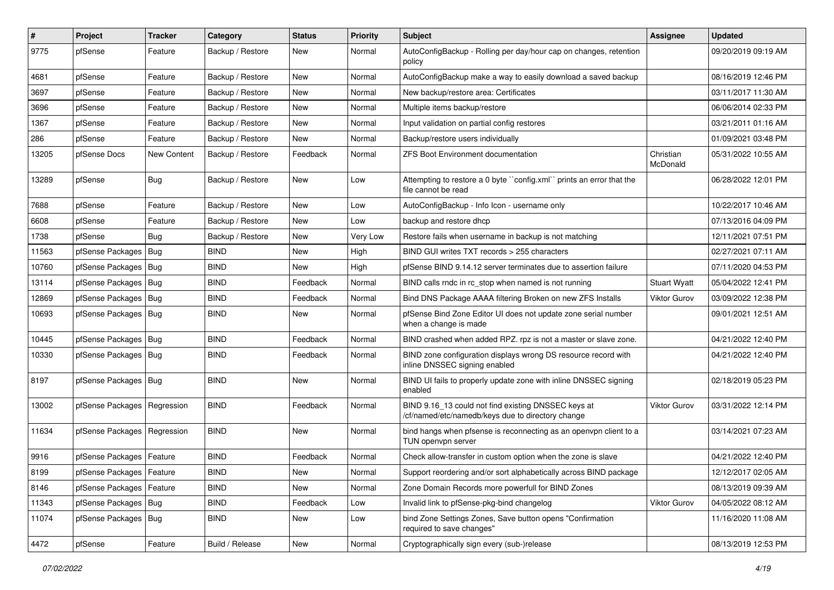| $\vert$ # | Project                       | <b>Tracker</b> | Category         | <b>Status</b> | <b>Priority</b> | <b>Subject</b>                                                                                           | <b>Assignee</b>       | <b>Updated</b>      |
|-----------|-------------------------------|----------------|------------------|---------------|-----------------|----------------------------------------------------------------------------------------------------------|-----------------------|---------------------|
| 9775      | pfSense                       | Feature        | Backup / Restore | New           | Normal          | AutoConfigBackup - Rolling per day/hour cap on changes, retention<br>policy                              |                       | 09/20/2019 09:19 AM |
| 4681      | pfSense                       | Feature        | Backup / Restore | New           | Normal          | AutoConfigBackup make a way to easily download a saved backup                                            |                       | 08/16/2019 12:46 PM |
| 3697      | pfSense                       | Feature        | Backup / Restore | New           | Normal          | New backup/restore area: Certificates                                                                    |                       | 03/11/2017 11:30 AM |
| 3696      | pfSense                       | Feature        | Backup / Restore | New           | Normal          | Multiple items backup/restore                                                                            |                       | 06/06/2014 02:33 PM |
| 1367      | pfSense                       | Feature        | Backup / Restore | New           | Normal          | Input validation on partial config restores                                                              |                       | 03/21/2011 01:16 AM |
| 286       | pfSense                       | Feature        | Backup / Restore | New           | Normal          | Backup/restore users individually                                                                        |                       | 01/09/2021 03:48 PM |
| 13205     | pfSense Docs                  | New Content    | Backup / Restore | Feedback      | Normal          | <b>ZFS Boot Environment documentation</b>                                                                | Christian<br>McDonald | 05/31/2022 10:55 AM |
| 13289     | pfSense                       | <b>Bug</b>     | Backup / Restore | New           | Low             | Attempting to restore a 0 byte "config.xml" prints an error that the<br>file cannot be read              |                       | 06/28/2022 12:01 PM |
| 7688      | pfSense                       | Feature        | Backup / Restore | New           | Low             | AutoConfigBackup - Info Icon - username only                                                             |                       | 10/22/2017 10:46 AM |
| 6608      | pfSense                       | Feature        | Backup / Restore | New           | Low             | backup and restore dhcp                                                                                  |                       | 07/13/2016 04:09 PM |
| 1738      | pfSense                       | <b>Bug</b>     | Backup / Restore | New           | Very Low        | Restore fails when username in backup is not matching                                                    |                       | 12/11/2021 07:51 PM |
| 11563     | pfSense Packages              | Bug            | <b>BIND</b>      | New           | High            | BIND GUI writes TXT records > 255 characters                                                             |                       | 02/27/2021 07:11 AM |
| 10760     | pfSense Packages              | Bug            | <b>BIND</b>      | <b>New</b>    | High            | pfSense BIND 9.14.12 server terminates due to assertion failure                                          |                       | 07/11/2020 04:53 PM |
| 13114     | pfSense Packages              | Bug            | <b>BIND</b>      | Feedback      | Normal          | BIND calls rndc in rc stop when named is not running                                                     | <b>Stuart Wyatt</b>   | 05/04/2022 12:41 PM |
| 12869     | pfSense Packages              | <b>Bug</b>     | <b>BIND</b>      | Feedback      | Normal          | Bind DNS Package AAAA filtering Broken on new ZFS Installs                                               | <b>Viktor Gurov</b>   | 03/09/2022 12:38 PM |
| 10693     | pfSense Packages              | Bug            | <b>BIND</b>      | New           | Normal          | pfSense Bind Zone Editor UI does not update zone serial number<br>when a change is made                  |                       | 09/01/2021 12:51 AM |
| 10445     | pfSense Packages              | Bug            | <b>BIND</b>      | Feedback      | Normal          | BIND crashed when added RPZ. rpz is not a master or slave zone.                                          |                       | 04/21/2022 12:40 PM |
| 10330     | pfSense Packages              | Bug            | <b>BIND</b>      | Feedback      | Normal          | BIND zone configuration displays wrong DS resource record with<br>inline DNSSEC signing enabled          |                       | 04/21/2022 12:40 PM |
| 8197      | pfSense Packages   Bug        |                | <b>BIND</b>      | New           | Normal          | BIND UI fails to properly update zone with inline DNSSEC signing<br>enabled                              |                       | 02/18/2019 05:23 PM |
| 13002     | pfSense Packages   Regression |                | <b>BIND</b>      | Feedback      | Normal          | BIND 9.16_13 could not find existing DNSSEC keys at<br>/cf/named/etc/namedb/keys due to directory change | Viktor Gurov          | 03/31/2022 12:14 PM |
| 11634     | pfSense Packages              | Regression     | <b>BIND</b>      | New           | Normal          | bind hangs when pfsense is reconnecting as an openvpn client to a<br>TUN openvpn server                  |                       | 03/14/2021 07:23 AM |
| 9916      | pfSense Packages   Feature    |                | <b>BIND</b>      | Feedback      | Normal          | Check allow-transfer in custom option when the zone is slave                                             |                       | 04/21/2022 12:40 PM |
| 8199      | pfSense Packages   Feature    |                | <b>BIND</b>      | New           | Normal          | Support reordering and/or sort alphabetically across BIND package                                        |                       | 12/12/2017 02:05 AM |
| 8146      | pfSense Packages              | Feature        | <b>BIND</b>      | New           | Normal          | Zone Domain Records more powerfull for BIND Zones                                                        |                       | 08/13/2019 09:39 AM |
| 11343     | pfSense Packages   Bug        |                | <b>BIND</b>      | Feedback      | Low             | Invalid link to pfSense-pkg-bind changelog                                                               | Viktor Gurov          | 04/05/2022 08:12 AM |
| 11074     | pfSense Packages   Bug        |                | <b>BIND</b>      | New           | Low             | bind Zone Settings Zones, Save button opens "Confirmation<br>required to save changes"                   |                       | 11/16/2020 11:08 AM |
| 4472      | pfSense                       | Feature        | Build / Release  | New           | Normal          | Cryptographically sign every (sub-)release                                                               |                       | 08/13/2019 12:53 PM |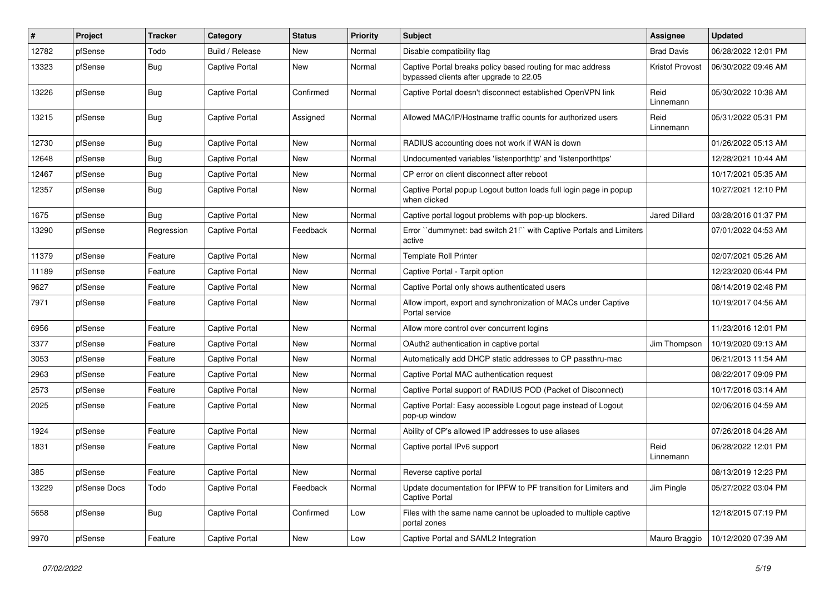| #     | Project      | <b>Tracker</b> | Category              | <b>Status</b> | <b>Priority</b> | Subject                                                                                               | Assignee          | <b>Updated</b>      |
|-------|--------------|----------------|-----------------------|---------------|-----------------|-------------------------------------------------------------------------------------------------------|-------------------|---------------------|
| 12782 | pfSense      | Todo           | Build / Release       | New           | Normal          | Disable compatibility flag                                                                            | <b>Brad Davis</b> | 06/28/2022 12:01 PM |
| 13323 | pfSense      | <b>Bug</b>     | <b>Captive Portal</b> | New           | Normal          | Captive Portal breaks policy based routing for mac address<br>bypassed clients after upgrade to 22.05 | Kristof Provost   | 06/30/2022 09:46 AM |
| 13226 | pfSense      | <b>Bug</b>     | Captive Portal        | Confirmed     | Normal          | Captive Portal doesn't disconnect established OpenVPN link                                            | Reid<br>Linnemann | 05/30/2022 10:38 AM |
| 13215 | pfSense      | <b>Bug</b>     | Captive Portal        | Assigned      | Normal          | Allowed MAC/IP/Hostname traffic counts for authorized users                                           | Reid<br>Linnemann | 05/31/2022 05:31 PM |
| 12730 | pfSense      | Bug            | Captive Portal        | <b>New</b>    | Normal          | RADIUS accounting does not work if WAN is down                                                        |                   | 01/26/2022 05:13 AM |
| 12648 | pfSense      | <b>Bug</b>     | Captive Portal        | New           | Normal          | Undocumented variables 'listenporthttp' and 'listenporthttps'                                         |                   | 12/28/2021 10:44 AM |
| 12467 | pfSense      | <b>Bug</b>     | Captive Portal        | New           | Normal          | CP error on client disconnect after reboot                                                            |                   | 10/17/2021 05:35 AM |
| 12357 | pfSense      | <b>Bug</b>     | <b>Captive Portal</b> | New           | Normal          | Captive Portal popup Logout button loads full login page in popup<br>when clicked                     |                   | 10/27/2021 12:10 PM |
| 1675  | pfSense      | <b>Bug</b>     | Captive Portal        | New           | Normal          | Captive portal logout problems with pop-up blockers.                                                  | Jared Dillard     | 03/28/2016 01:37 PM |
| 13290 | pfSense      | Regression     | <b>Captive Portal</b> | Feedback      | Normal          | Error "dummynet: bad switch 21!" with Captive Portals and Limiters<br>active                          |                   | 07/01/2022 04:53 AM |
| 11379 | pfSense      | Feature        | Captive Portal        | <b>New</b>    | Normal          | <b>Template Roll Printer</b>                                                                          |                   | 02/07/2021 05:26 AM |
| 11189 | pfSense      | Feature        | Captive Portal        | New           | Normal          | Captive Portal - Tarpit option                                                                        |                   | 12/23/2020 06:44 PM |
| 9627  | pfSense      | Feature        | <b>Captive Portal</b> | New           | Normal          | Captive Portal only shows authenticated users                                                         |                   | 08/14/2019 02:48 PM |
| 7971  | pfSense      | Feature        | <b>Captive Portal</b> | New           | Normal          | Allow import, export and synchronization of MACs under Captive<br>Portal service                      |                   | 10/19/2017 04:56 AM |
| 6956  | pfSense      | Feature        | <b>Captive Portal</b> | New           | Normal          | Allow more control over concurrent logins                                                             |                   | 11/23/2016 12:01 PM |
| 3377  | pfSense      | Feature        | <b>Captive Portal</b> | New           | Normal          | OAuth2 authentication in captive portal                                                               | Jim Thompson      | 10/19/2020 09:13 AM |
| 3053  | pfSense      | Feature        | <b>Captive Portal</b> | New           | Normal          | Automatically add DHCP static addresses to CP passthru-mac                                            |                   | 06/21/2013 11:54 AM |
| 2963  | pfSense      | Feature        | <b>Captive Portal</b> | New           | Normal          | Captive Portal MAC authentication request                                                             |                   | 08/22/2017 09:09 PM |
| 2573  | pfSense      | Feature        | Captive Portal        | New           | Normal          | Captive Portal support of RADIUS POD (Packet of Disconnect)                                           |                   | 10/17/2016 03:14 AM |
| 2025  | pfSense      | Feature        | <b>Captive Portal</b> | New           | Normal          | Captive Portal: Easy accessible Logout page instead of Logout<br>pop-up window                        |                   | 02/06/2016 04:59 AM |
| 1924  | pfSense      | Feature        | Captive Portal        | <b>New</b>    | Normal          | Ability of CP's allowed IP addresses to use aliases                                                   |                   | 07/26/2018 04:28 AM |
| 1831  | pfSense      | Feature        | Captive Portal        | New           | Normal          | Captive portal IPv6 support                                                                           | Reid<br>Linnemann | 06/28/2022 12:01 PM |
| 385   | pfSense      | Feature        | Captive Portal        | New           | Normal          | Reverse captive portal                                                                                |                   | 08/13/2019 12:23 PM |
| 13229 | pfSense Docs | Todo           | <b>Captive Portal</b> | Feedback      | Normal          | Update documentation for IPFW to PF transition for Limiters and<br>Captive Portal                     | Jim Pingle        | 05/27/2022 03:04 PM |
| 5658  | pfSense      | <b>Bug</b>     | Captive Portal        | Confirmed     | Low             | Files with the same name cannot be uploaded to multiple captive<br>portal zones                       |                   | 12/18/2015 07:19 PM |
| 9970  | pfSense      | Feature        | Captive Portal        | New           | Low             | Captive Portal and SAML2 Integration                                                                  | Mauro Braggio     | 10/12/2020 07:39 AM |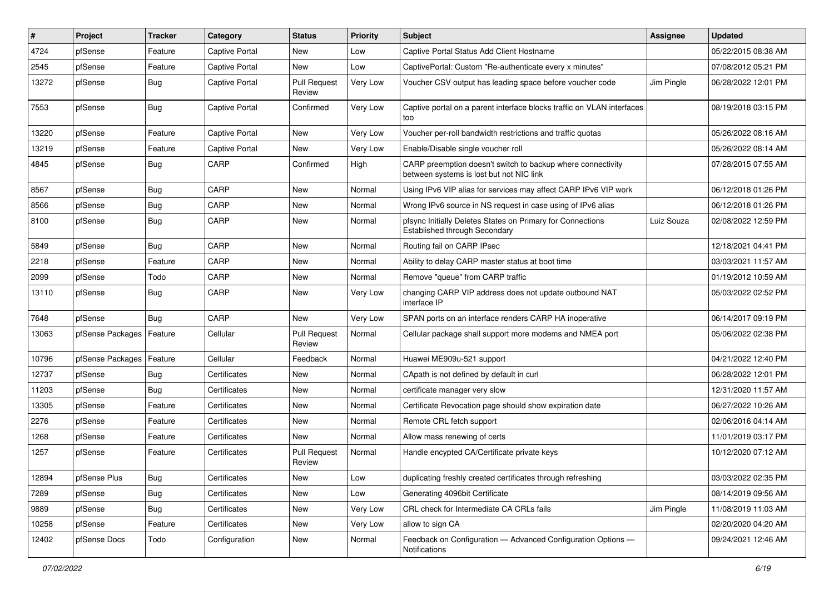| $\vert$ # | Project          | <b>Tracker</b> | Category              | <b>Status</b>                 | <b>Priority</b> | Subject                                                                                                 | <b>Assignee</b> | <b>Updated</b>      |
|-----------|------------------|----------------|-----------------------|-------------------------------|-----------------|---------------------------------------------------------------------------------------------------------|-----------------|---------------------|
| 4724      | pfSense          | Feature        | Captive Portal        | New                           | Low             | Captive Portal Status Add Client Hostname                                                               |                 | 05/22/2015 08:38 AM |
| 2545      | pfSense          | Feature        | Captive Portal        | <b>New</b>                    | Low             | CaptivePortal: Custom "Re-authenticate every x minutes"                                                 |                 | 07/08/2012 05:21 PM |
| 13272     | pfSense          | <b>Bug</b>     | <b>Captive Portal</b> | <b>Pull Request</b><br>Review | Very Low        | Voucher CSV output has leading space before voucher code                                                | Jim Pingle      | 06/28/2022 12:01 PM |
| 7553      | pfSense          | <b>Bug</b>     | Captive Portal        | Confirmed                     | Very Low        | Captive portal on a parent interface blocks traffic on VLAN interfaces<br>too                           |                 | 08/19/2018 03:15 PM |
| 13220     | pfSense          | Feature        | Captive Portal        | <b>New</b>                    | Very Low        | Voucher per-roll bandwidth restrictions and traffic quotas                                              |                 | 05/26/2022 08:16 AM |
| 13219     | pfSense          | Feature        | Captive Portal        | <b>New</b>                    | Very Low        | Enable/Disable single voucher roll                                                                      |                 | 05/26/2022 08:14 AM |
| 4845      | pfSense          | <b>Bug</b>     | CARP                  | Confirmed                     | High            | CARP preemption doesn't switch to backup where connectivity<br>between systems is lost but not NIC link |                 | 07/28/2015 07:55 AM |
| 8567      | pfSense          | Bug            | CARP                  | New                           | Normal          | Using IPv6 VIP alias for services may affect CARP IPv6 VIP work                                         |                 | 06/12/2018 01:26 PM |
| 8566      | pfSense          | <b>Bug</b>     | CARP                  | New                           | Normal          | Wrong IPv6 source in NS request in case using of IPv6 alias                                             |                 | 06/12/2018 01:26 PM |
| 8100      | pfSense          | <b>Bug</b>     | CARP                  | New                           | Normal          | pfsync Initially Deletes States on Primary for Connections<br>Established through Secondary             | Luiz Souza      | 02/08/2022 12:59 PM |
| 5849      | pfSense          | Bug            | CARP                  | New                           | Normal          | Routing fail on CARP IPsec                                                                              |                 | 12/18/2021 04:41 PM |
| 2218      | pfSense          | Feature        | CARP                  | New                           | Normal          | Ability to delay CARP master status at boot time                                                        |                 | 03/03/2021 11:57 AM |
| 2099      | pfSense          | Todo           | CARP                  | New                           | Normal          | Remove "queue" from CARP traffic                                                                        |                 | 01/19/2012 10:59 AM |
| 13110     | pfSense          | <b>Bug</b>     | CARP                  | New                           | Very Low        | changing CARP VIP address does not update outbound NAT<br>interface IP                                  |                 | 05/03/2022 02:52 PM |
| 7648      | pfSense          | Bug            | CARP                  | <b>New</b>                    | Very Low        | SPAN ports on an interface renders CARP HA inoperative                                                  |                 | 06/14/2017 09:19 PM |
| 13063     | pfSense Packages | Feature        | Cellular              | <b>Pull Request</b><br>Review | Normal          | Cellular package shall support more modems and NMEA port                                                |                 | 05/06/2022 02:38 PM |
| 10796     | pfSense Packages | Feature        | Cellular              | Feedback                      | Normal          | Huawei ME909u-521 support                                                                               |                 | 04/21/2022 12:40 PM |
| 12737     | pfSense          | <b>Bug</b>     | Certificates          | New                           | Normal          | CApath is not defined by default in curl                                                                |                 | 06/28/2022 12:01 PM |
| 11203     | pfSense          | Bug            | Certificates          | New                           | Normal          | certificate manager very slow                                                                           |                 | 12/31/2020 11:57 AM |
| 13305     | pfSense          | Feature        | Certificates          | New                           | Normal          | Certificate Revocation page should show expiration date                                                 |                 | 06/27/2022 10:26 AM |
| 2276      | pfSense          | Feature        | Certificates          | New                           | Normal          | Remote CRL fetch support                                                                                |                 | 02/06/2016 04:14 AM |
| 1268      | pfSense          | Feature        | Certificates          | New                           | Normal          | Allow mass renewing of certs                                                                            |                 | 11/01/2019 03:17 PM |
| 1257      | pfSense          | Feature        | Certificates          | <b>Pull Request</b><br>Review | Normal          | Handle encypted CA/Certificate private keys                                                             |                 | 10/12/2020 07:12 AM |
| 12894     | pfSense Plus     | <b>Bug</b>     | Certificates          | New                           | Low             | duplicating freshly created certificates through refreshing                                             |                 | 03/03/2022 02:35 PM |
| 7289      | pfSense          | <b>Bug</b>     | Certificates          | New                           | Low             | Generating 4096bit Certificate                                                                          |                 | 08/14/2019 09:56 AM |
| 9889      | pfSense          | <b>Bug</b>     | Certificates          | New                           | Very Low        | CRL check for Intermediate CA CRLs fails                                                                | Jim Pingle      | 11/08/2019 11:03 AM |
| 10258     | pfSense          | Feature        | Certificates          | New                           | Very Low        | allow to sign CA                                                                                        |                 | 02/20/2020 04:20 AM |
| 12402     | pfSense Docs     | Todo           | Configuration         | New                           | Normal          | Feedback on Configuration - Advanced Configuration Options -<br>Notifications                           |                 | 09/24/2021 12:46 AM |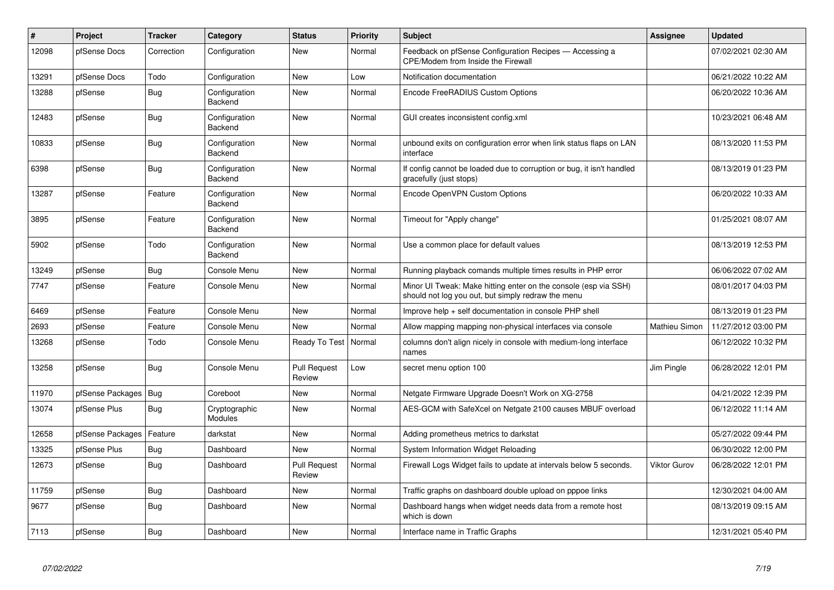| $\pmb{\#}$ | <b>Project</b>   | <b>Tracker</b> | Category                 | <b>Status</b>                 | <b>Priority</b> | <b>Subject</b>                                                                                                        | Assignee            | <b>Updated</b>      |
|------------|------------------|----------------|--------------------------|-------------------------------|-----------------|-----------------------------------------------------------------------------------------------------------------------|---------------------|---------------------|
| 12098      | pfSense Docs     | Correction     | Configuration            | <b>New</b>                    | Normal          | Feedback on pfSense Configuration Recipes - Accessing a<br>CPE/Modem from Inside the Firewall                         |                     | 07/02/2021 02:30 AM |
| 13291      | pfSense Docs     | Todo           | Configuration            | <b>New</b>                    | Low             | Notification documentation                                                                                            |                     | 06/21/2022 10:22 AM |
| 13288      | pfSense          | <b>Bug</b>     | Configuration<br>Backend | <b>New</b>                    | Normal          | Encode FreeRADIUS Custom Options                                                                                      |                     | 06/20/2022 10:36 AM |
| 12483      | pfSense          | Bug            | Configuration<br>Backend | <b>New</b>                    | Normal          | GUI creates inconsistent config.xml                                                                                   |                     | 10/23/2021 06:48 AM |
| 10833      | pfSense          | <b>Bug</b>     | Configuration<br>Backend | <b>New</b>                    | Normal          | unbound exits on configuration error when link status flaps on LAN<br>interface                                       |                     | 08/13/2020 11:53 PM |
| 6398       | pfSense          | Bug            | Configuration<br>Backend | <b>New</b>                    | Normal          | If config cannot be loaded due to corruption or bug, it isn't handled<br>gracefully (just stops)                      |                     | 08/13/2019 01:23 PM |
| 13287      | pfSense          | Feature        | Configuration<br>Backend | <b>New</b>                    | Normal          | Encode OpenVPN Custom Options                                                                                         |                     | 06/20/2022 10:33 AM |
| 3895       | pfSense          | Feature        | Configuration<br>Backend | <b>New</b>                    | Normal          | Timeout for "Apply change"                                                                                            |                     | 01/25/2021 08:07 AM |
| 5902       | pfSense          | Todo           | Configuration<br>Backend | New                           | Normal          | Use a common place for default values                                                                                 |                     | 08/13/2019 12:53 PM |
| 13249      | pfSense          | Bug            | Console Menu             | <b>New</b>                    | Normal          | Running playback comands multiple times results in PHP error                                                          |                     | 06/06/2022 07:02 AM |
| 7747       | pfSense          | Feature        | Console Menu             | <b>New</b>                    | Normal          | Minor UI Tweak: Make hitting enter on the console (esp via SSH)<br>should not log you out, but simply redraw the menu |                     | 08/01/2017 04:03 PM |
| 6469       | pfSense          | Feature        | Console Menu             | <b>New</b>                    | Normal          | Improve help + self documentation in console PHP shell                                                                |                     | 08/13/2019 01:23 PM |
| 2693       | pfSense          | Feature        | Console Menu             | <b>New</b>                    | Normal          | Allow mapping mapping non-physical interfaces via console                                                             | Mathieu Simon       | 11/27/2012 03:00 PM |
| 13268      | pfSense          | Todo           | Console Menu             | Ready To Test                 | Normal          | columns don't align nicely in console with medium-long interface<br>names                                             |                     | 06/12/2022 10:32 PM |
| 13258      | pfSense          | Bug            | Console Menu             | <b>Pull Request</b><br>Review | Low             | secret menu option 100                                                                                                | Jim Pingle          | 06/28/2022 12:01 PM |
| 11970      | pfSense Packages | Bug            | Coreboot                 | New                           | Normal          | Netgate Firmware Upgrade Doesn't Work on XG-2758                                                                      |                     | 04/21/2022 12:39 PM |
| 13074      | pfSense Plus     | <b>Bug</b>     | Cryptographic<br>Modules | <b>New</b>                    | Normal          | AES-GCM with SafeXcel on Netgate 2100 causes MBUF overload                                                            |                     | 06/12/2022 11:14 AM |
| 12658      | pfSense Packages | Feature        | darkstat                 | <b>New</b>                    | Normal          | Adding prometheus metrics to darkstat                                                                                 |                     | 05/27/2022 09:44 PM |
| 13325      | pfSense Plus     | <b>Bug</b>     | Dashboard                | <b>New</b>                    | Normal          | System Information Widget Reloading                                                                                   |                     | 06/30/2022 12:00 PM |
| 12673      | pfSense          | Bug            | Dashboard                | <b>Pull Request</b><br>Review | Normal          | Firewall Logs Widget fails to update at intervals below 5 seconds.                                                    | <b>Viktor Gurov</b> | 06/28/2022 12:01 PM |
| 11759      | pfSense          | Bug            | Dashboard                | <b>New</b>                    | Normal          | Traffic graphs on dashboard double upload on pppoe links                                                              |                     | 12/30/2021 04:00 AM |
| 9677       | pfSense          | <b>Bug</b>     | Dashboard                | <b>New</b>                    | Normal          | Dashboard hangs when widget needs data from a remote host<br>which is down                                            |                     | 08/13/2019 09:15 AM |
| 7113       | pfSense          | <b>Bug</b>     | Dashboard                | New                           | Normal          | Interface name in Traffic Graphs                                                                                      |                     | 12/31/2021 05:40 PM |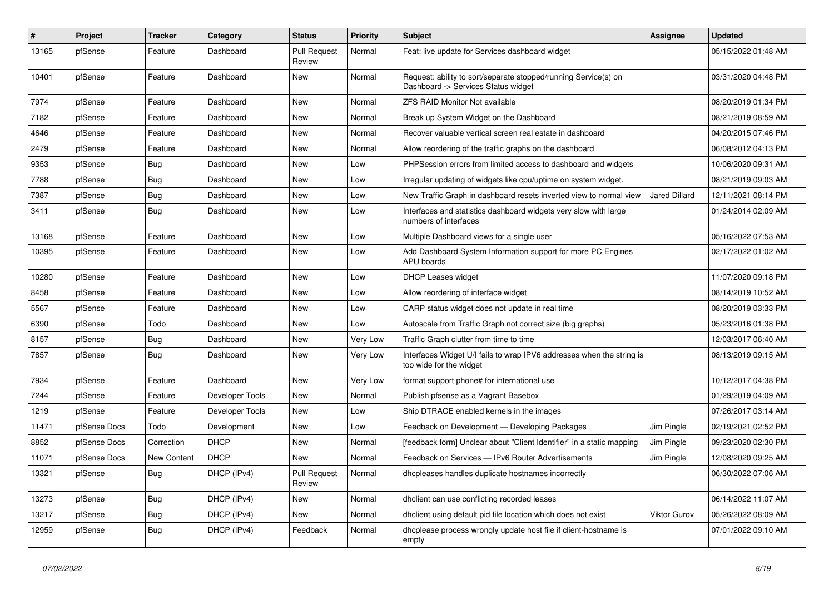| $\sharp$ | Project      | <b>Tracker</b>     | Category        | <b>Status</b>                 | <b>Priority</b> | <b>Subject</b>                                                                                         | <b>Assignee</b>      | <b>Updated</b>      |
|----------|--------------|--------------------|-----------------|-------------------------------|-----------------|--------------------------------------------------------------------------------------------------------|----------------------|---------------------|
| 13165    | pfSense      | Feature            | Dashboard       | <b>Pull Request</b><br>Review | Normal          | Feat: live update for Services dashboard widget                                                        |                      | 05/15/2022 01:48 AM |
| 10401    | pfSense      | Feature            | Dashboard       | <b>New</b>                    | Normal          | Request: ability to sort/separate stopped/running Service(s) on<br>Dashboard -> Services Status widget |                      | 03/31/2020 04:48 PM |
| 7974     | pfSense      | Feature            | Dashboard       | <b>New</b>                    | Normal          | <b>ZFS RAID Monitor Not available</b>                                                                  |                      | 08/20/2019 01:34 PM |
| 7182     | pfSense      | Feature            | Dashboard       | <b>New</b>                    | Normal          | Break up System Widget on the Dashboard                                                                |                      | 08/21/2019 08:59 AM |
| 4646     | pfSense      | Feature            | Dashboard       | <b>New</b>                    | Normal          | Recover valuable vertical screen real estate in dashboard                                              |                      | 04/20/2015 07:46 PM |
| 2479     | pfSense      | Feature            | Dashboard       | <b>New</b>                    | Normal          | Allow reordering of the traffic graphs on the dashboard                                                |                      | 06/08/2012 04:13 PM |
| 9353     | pfSense      | <b>Bug</b>         | Dashboard       | <b>New</b>                    | Low             | PHPSession errors from limited access to dashboard and widgets                                         |                      | 10/06/2020 09:31 AM |
| 7788     | pfSense      | <b>Bug</b>         | Dashboard       | <b>New</b>                    | Low             | Irregular updating of widgets like cpu/uptime on system widget.                                        |                      | 08/21/2019 09:03 AM |
| 7387     | pfSense      | <b>Bug</b>         | Dashboard       | <b>New</b>                    | Low             | New Traffic Graph in dashboard resets inverted view to normal view                                     | <b>Jared Dillard</b> | 12/11/2021 08:14 PM |
| 3411     | pfSense      | Bug                | Dashboard       | <b>New</b>                    | Low             | Interfaces and statistics dashboard widgets very slow with large<br>numbers of interfaces              |                      | 01/24/2014 02:09 AM |
| 13168    | pfSense      | Feature            | Dashboard       | <b>New</b>                    | Low             | Multiple Dashboard views for a single user                                                             |                      | 05/16/2022 07:53 AM |
| 10395    | pfSense      | Feature            | Dashboard       | <b>New</b>                    | Low             | Add Dashboard System Information support for more PC Engines<br>APU boards                             |                      | 02/17/2022 01:02 AM |
| 10280    | pfSense      | Feature            | Dashboard       | <b>New</b>                    | Low             | <b>DHCP Leases widget</b>                                                                              |                      | 11/07/2020 09:18 PM |
| 8458     | pfSense      | Feature            | Dashboard       | <b>New</b>                    | Low             | Allow reordering of interface widget                                                                   |                      | 08/14/2019 10:52 AM |
| 5567     | pfSense      | Feature            | Dashboard       | <b>New</b>                    | Low             | CARP status widget does not update in real time                                                        |                      | 08/20/2019 03:33 PM |
| 6390     | pfSense      | Todo               | Dashboard       | <b>New</b>                    | Low             | Autoscale from Traffic Graph not correct size (big graphs)                                             |                      | 05/23/2016 01:38 PM |
| 8157     | pfSense      | Bug                | Dashboard       | <b>New</b>                    | Very Low        | Traffic Graph clutter from time to time                                                                |                      | 12/03/2017 06:40 AM |
| 7857     | pfSense      | Bug                | Dashboard       | New                           | Very Low        | Interfaces Widget U/I fails to wrap IPV6 addresses when the string is<br>too wide for the widget       |                      | 08/13/2019 09:15 AM |
| 7934     | pfSense      | Feature            | Dashboard       | New                           | Very Low        | format support phone# for international use                                                            |                      | 10/12/2017 04:38 PM |
| 7244     | pfSense      | Feature            | Developer Tools | New                           | Normal          | Publish pfsense as a Vagrant Basebox                                                                   |                      | 01/29/2019 04:09 AM |
| 1219     | pfSense      | Feature            | Developer Tools | <b>New</b>                    | Low             | Ship DTRACE enabled kernels in the images                                                              |                      | 07/26/2017 03:14 AM |
| 11471    | pfSense Docs | Todo               | Development     | <b>New</b>                    | Low             | Feedback on Development - Developing Packages                                                          | Jim Pingle           | 02/19/2021 02:52 PM |
| 8852     | pfSense Docs | Correction         | <b>DHCP</b>     | <b>New</b>                    | Normal          | [feedback form] Unclear about "Client Identifier" in a static mapping                                  | Jim Pingle           | 09/23/2020 02:30 PM |
| 11071    | pfSense Docs | <b>New Content</b> | <b>DHCP</b>     | <b>New</b>                    | Normal          | Feedback on Services - IPv6 Router Advertisements                                                      | Jim Pingle           | 12/08/2020 09:25 AM |
| 13321    | pfSense      | <b>Bug</b>         | DHCP (IPv4)     | <b>Pull Request</b><br>Review | Normal          | dhcpleases handles duplicate hostnames incorrectly                                                     |                      | 06/30/2022 07:06 AM |
| 13273    | pfSense      | <b>Bug</b>         | DHCP (IPv4)     | <b>New</b>                    | Normal          | dhclient can use conflicting recorded leases                                                           |                      | 06/14/2022 11:07 AM |
| 13217    | pfSense      | <b>Bug</b>         | DHCP (IPv4)     | <b>New</b>                    | Normal          | dhclient using default pid file location which does not exist                                          | <b>Viktor Gurov</b>  | 05/26/2022 08:09 AM |
| 12959    | pfSense      | <b>Bug</b>         | DHCP (IPv4)     | Feedback                      | Normal          | dhcplease process wrongly update host file if client-hostname is<br>empty                              |                      | 07/01/2022 09:10 AM |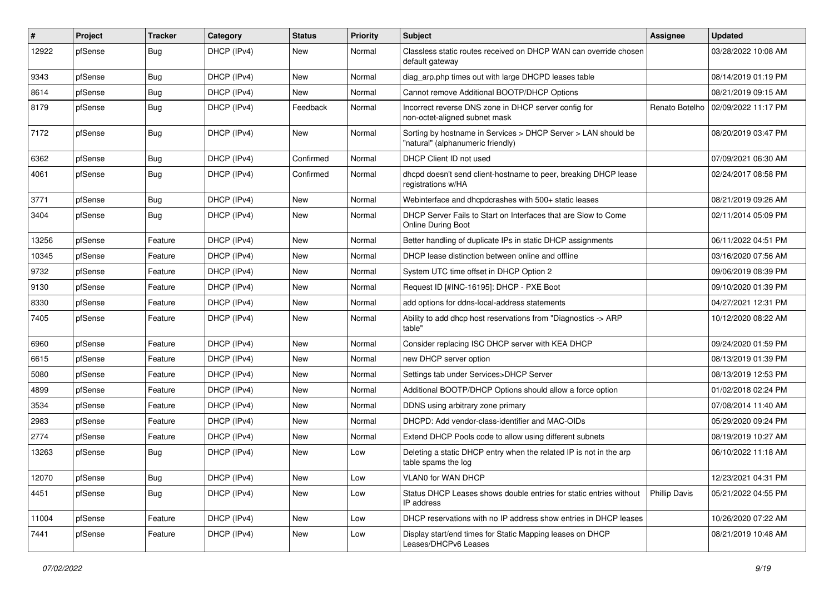| #     | Project | <b>Tracker</b> | Category    | <b>Status</b> | <b>Priority</b> | <b>Subject</b>                                                                                     | Assignee             | <b>Updated</b>      |
|-------|---------|----------------|-------------|---------------|-----------------|----------------------------------------------------------------------------------------------------|----------------------|---------------------|
| 12922 | pfSense | <b>Bug</b>     | DHCP (IPv4) | New           | Normal          | Classless static routes received on DHCP WAN can override chosen<br>default gateway                |                      | 03/28/2022 10:08 AM |
| 9343  | pfSense | <b>Bug</b>     | DHCP (IPv4) | New           | Normal          | diag arp.php times out with large DHCPD leases table                                               |                      | 08/14/2019 01:19 PM |
| 8614  | pfSense | Bug            | DHCP (IPv4) | <b>New</b>    | Normal          | Cannot remove Additional BOOTP/DHCP Options                                                        |                      | 08/21/2019 09:15 AM |
| 8179  | pfSense | <b>Bug</b>     | DHCP (IPv4) | Feedback      | Normal          | Incorrect reverse DNS zone in DHCP server config for<br>non-octet-aligned subnet mask              | Renato Botelho       | 02/09/2022 11:17 PM |
| 7172  | pfSense | Bug            | DHCP (IPv4) | New           | Normal          | Sorting by hostname in Services > DHCP Server > LAN should be<br>"natural" (alphanumeric friendly) |                      | 08/20/2019 03:47 PM |
| 6362  | pfSense | <b>Bug</b>     | DHCP (IPv4) | Confirmed     | Normal          | DHCP Client ID not used                                                                            |                      | 07/09/2021 06:30 AM |
| 4061  | pfSense | Bug            | DHCP (IPv4) | Confirmed     | Normal          | dhcpd doesn't send client-hostname to peer, breaking DHCP lease<br>registrations w/HA              |                      | 02/24/2017 08:58 PM |
| 3771  | pfSense | <b>Bug</b>     | DHCP (IPv4) | <b>New</b>    | Normal          | Webinterface and dhcpdcrashes with 500+ static leases                                              |                      | 08/21/2019 09:26 AM |
| 3404  | pfSense | <b>Bug</b>     | DHCP (IPv4) | New           | Normal          | DHCP Server Fails to Start on Interfaces that are Slow to Come<br><b>Online During Boot</b>        |                      | 02/11/2014 05:09 PM |
| 13256 | pfSense | Feature        | DHCP (IPv4) | New           | Normal          | Better handling of duplicate IPs in static DHCP assignments                                        |                      | 06/11/2022 04:51 PM |
| 10345 | pfSense | Feature        | DHCP (IPv4) | New           | Normal          | DHCP lease distinction between online and offline                                                  |                      | 03/16/2020 07:56 AM |
| 9732  | pfSense | Feature        | DHCP (IPv4) | New           | Normal          | System UTC time offset in DHCP Option 2                                                            |                      | 09/06/2019 08:39 PM |
| 9130  | pfSense | Feature        | DHCP (IPv4) | <b>New</b>    | Normal          | Request ID [#INC-16195]: DHCP - PXE Boot                                                           |                      | 09/10/2020 01:39 PM |
| 8330  | pfSense | Feature        | DHCP (IPv4) | New           | Normal          | add options for ddns-local-address statements                                                      |                      | 04/27/2021 12:31 PM |
| 7405  | pfSense | Feature        | DHCP (IPv4) | New           | Normal          | Ability to add dhcp host reservations from "Diagnostics -> ARP<br>table"                           |                      | 10/12/2020 08:22 AM |
| 6960  | pfSense | Feature        | DHCP (IPv4) | New           | Normal          | Consider replacing ISC DHCP server with KEA DHCP                                                   |                      | 09/24/2020 01:59 PM |
| 6615  | pfSense | Feature        | DHCP (IPv4) | New           | Normal          | new DHCP server option                                                                             |                      | 08/13/2019 01:39 PM |
| 5080  | pfSense | Feature        | DHCP (IPv4) | <b>New</b>    | Normal          | Settings tab under Services>DHCP Server                                                            |                      | 08/13/2019 12:53 PM |
| 4899  | pfSense | Feature        | DHCP (IPv4) | New           | Normal          | Additional BOOTP/DHCP Options should allow a force option                                          |                      | 01/02/2018 02:24 PM |
| 3534  | pfSense | Feature        | DHCP (IPv4) | <b>New</b>    | Normal          | DDNS using arbitrary zone primary                                                                  |                      | 07/08/2014 11:40 AM |
| 2983  | pfSense | Feature        | DHCP (IPv4) | New           | Normal          | DHCPD: Add vendor-class-identifier and MAC-OIDs                                                    |                      | 05/29/2020 09:24 PM |
| 2774  | pfSense | Feature        | DHCP (IPv4) | <b>New</b>    | Normal          | Extend DHCP Pools code to allow using different subnets                                            |                      | 08/19/2019 10:27 AM |
| 13263 | pfSense | Bug            | DHCP (IPv4) | New           | Low             | Deleting a static DHCP entry when the related IP is not in the arp<br>table spams the log          |                      | 06/10/2022 11:18 AM |
| 12070 | pfSense | Bug            | DHCP (IPv4) | New           | Low             | VLAN0 for WAN DHCP                                                                                 |                      | 12/23/2021 04:31 PM |
| 4451  | pfSense | <b>Bug</b>     | DHCP (IPv4) | New           | Low             | Status DHCP Leases shows double entries for static entries without<br>IP address                   | <b>Phillip Davis</b> | 05/21/2022 04:55 PM |
| 11004 | pfSense | Feature        | DHCP (IPv4) | New           | Low             | DHCP reservations with no IP address show entries in DHCP leases                                   |                      | 10/26/2020 07:22 AM |
| 7441  | pfSense | Feature        | DHCP (IPv4) | New           | Low             | Display start/end times for Static Mapping leases on DHCP<br>Leases/DHCPv6 Leases                  |                      | 08/21/2019 10:48 AM |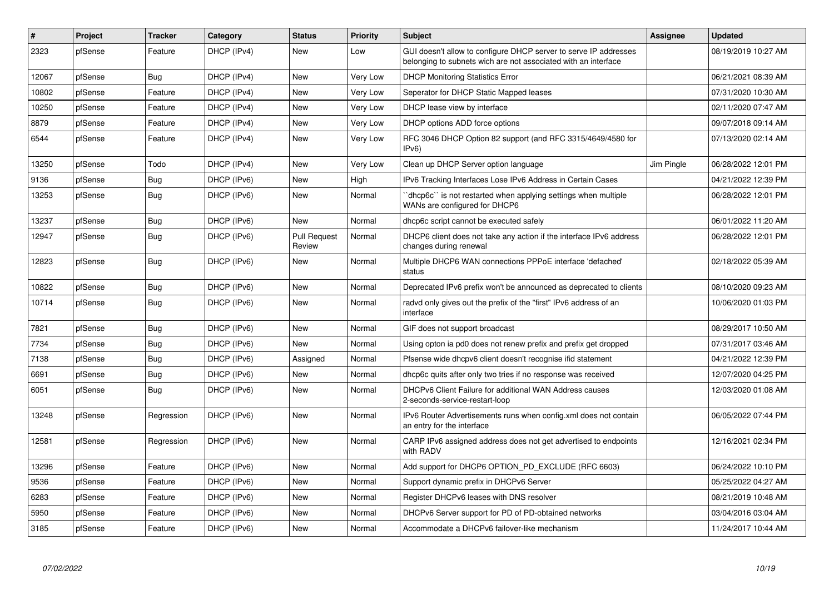| $\pmb{\#}$ | Project | <b>Tracker</b> | Category    | <b>Status</b>                 | Priority | <b>Subject</b>                                                                                                                     | Assignee   | <b>Updated</b>      |
|------------|---------|----------------|-------------|-------------------------------|----------|------------------------------------------------------------------------------------------------------------------------------------|------------|---------------------|
| 2323       | pfSense | Feature        | DHCP (IPv4) | <b>New</b>                    | Low      | GUI doesn't allow to configure DHCP server to serve IP addresses<br>belonging to subnets wich are not associated with an interface |            | 08/19/2019 10:27 AM |
| 12067      | pfSense | Bug            | DHCP (IPv4) | <b>New</b>                    | Very Low | <b>DHCP Monitoring Statistics Error</b>                                                                                            |            | 06/21/2021 08:39 AM |
| 10802      | pfSense | Feature        | DHCP (IPv4) | <b>New</b>                    | Very Low | Seperator for DHCP Static Mapped leases                                                                                            |            | 07/31/2020 10:30 AM |
| 10250      | pfSense | Feature        | DHCP (IPv4) | <b>New</b>                    | Very Low | DHCP lease view by interface                                                                                                       |            | 02/11/2020 07:47 AM |
| 8879       | pfSense | Feature        | DHCP (IPv4) | New                           | Very Low | DHCP options ADD force options                                                                                                     |            | 09/07/2018 09:14 AM |
| 6544       | pfSense | Feature        | DHCP (IPv4) | New                           | Very Low | RFC 3046 DHCP Option 82 support (and RFC 3315/4649/4580 for<br>IPv6                                                                |            | 07/13/2020 02:14 AM |
| 13250      | pfSense | Todo           | DHCP (IPv4) | New                           | Very Low | Clean up DHCP Server option language                                                                                               | Jim Pingle | 06/28/2022 12:01 PM |
| 9136       | pfSense | Bug            | DHCP (IPv6) | New                           | High     | IPv6 Tracking Interfaces Lose IPv6 Address in Certain Cases                                                                        |            | 04/21/2022 12:39 PM |
| 13253      | pfSense | <b>Bug</b>     | DHCP (IPv6) | New                           | Normal   | dhcp6c" is not restarted when applying settings when multiple<br>WANs are configured for DHCP6                                     |            | 06/28/2022 12:01 PM |
| 13237      | pfSense | <b>Bug</b>     | DHCP (IPv6) | <b>New</b>                    | Normal   | dhcp6c script cannot be executed safely                                                                                            |            | 06/01/2022 11:20 AM |
| 12947      | pfSense | Bug            | DHCP (IPv6) | <b>Pull Request</b><br>Review | Normal   | DHCP6 client does not take any action if the interface IPv6 address<br>changes during renewal                                      |            | 06/28/2022 12:01 PM |
| 12823      | pfSense | Bug            | DHCP (IPv6) | New                           | Normal   | Multiple DHCP6 WAN connections PPPoE interface 'defached'<br>status                                                                |            | 02/18/2022 05:39 AM |
| 10822      | pfSense | <b>Bug</b>     | DHCP (IPv6) | New                           | Normal   | Deprecated IPv6 prefix won't be announced as deprecated to clients                                                                 |            | 08/10/2020 09:23 AM |
| 10714      | pfSense | Bug            | DHCP (IPv6) | New                           | Normal   | radvd only gives out the prefix of the "first" IPv6 address of an<br>interface                                                     |            | 10/06/2020 01:03 PM |
| 7821       | pfSense | Bug            | DHCP (IPv6) | New                           | Normal   | GIF does not support broadcast                                                                                                     |            | 08/29/2017 10:50 AM |
| 7734       | pfSense | Bug            | DHCP (IPv6) | <b>New</b>                    | Normal   | Using opton ia pd0 does not renew prefix and prefix get dropped                                                                    |            | 07/31/2017 03:46 AM |
| 7138       | pfSense | <b>Bug</b>     | DHCP (IPv6) | Assigned                      | Normal   | Pfsense wide dhcpv6 client doesn't recognise ifid statement                                                                        |            | 04/21/2022 12:39 PM |
| 6691       | pfSense | Bug            | DHCP (IPv6) | New                           | Normal   | dhcp6c quits after only two tries if no response was received                                                                      |            | 12/07/2020 04:25 PM |
| 6051       | pfSense | <b>Bug</b>     | DHCP (IPv6) | New                           | Normal   | DHCPv6 Client Failure for additional WAN Address causes<br>2-seconds-service-restart-loop                                          |            | 12/03/2020 01:08 AM |
| 13248      | pfSense | Regression     | DHCP (IPv6) | <b>New</b>                    | Normal   | IPv6 Router Advertisements runs when config.xml does not contain<br>an entry for the interface                                     |            | 06/05/2022 07:44 PM |
| 12581      | pfSense | Regression     | DHCP (IPv6) | <b>New</b>                    | Normal   | CARP IPv6 assigned address does not get advertised to endpoints<br>with RADV                                                       |            | 12/16/2021 02:34 PM |
| 13296      | pfSense | Feature        | DHCP (IPv6) | <b>New</b>                    | Normal   | Add support for DHCP6 OPTION PD EXCLUDE (RFC 6603)                                                                                 |            | 06/24/2022 10:10 PM |
| 9536       | pfSense | Feature        | DHCP (IPv6) | <b>New</b>                    | Normal   | Support dynamic prefix in DHCPv6 Server                                                                                            |            | 05/25/2022 04:27 AM |
| 6283       | pfSense | Feature        | DHCP (IPv6) | <b>New</b>                    | Normal   | Register DHCPv6 leases with DNS resolver                                                                                           |            | 08/21/2019 10:48 AM |
| 5950       | pfSense | Feature        | DHCP (IPv6) | New                           | Normal   | DHCPv6 Server support for PD of PD-obtained networks                                                                               |            | 03/04/2016 03:04 AM |
| 3185       | pfSense | Feature        | DHCP (IPv6) | <b>New</b>                    | Normal   | Accommodate a DHCPv6 failover-like mechanism                                                                                       |            | 11/24/2017 10:44 AM |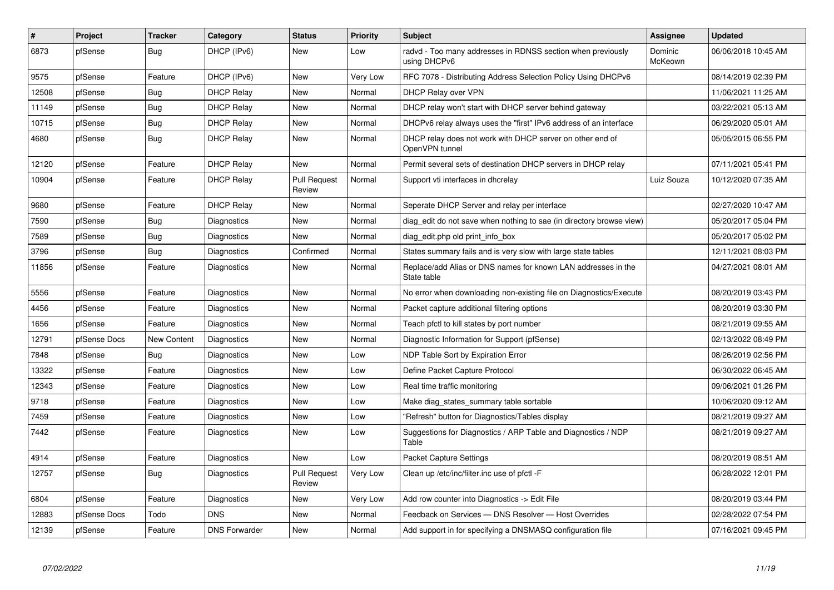| $\vert$ # | Project      | <b>Tracker</b>     | Category             | <b>Status</b>                 | Priority | <b>Subject</b>                                                               | Assignee           | <b>Updated</b>      |
|-----------|--------------|--------------------|----------------------|-------------------------------|----------|------------------------------------------------------------------------------|--------------------|---------------------|
| 6873      | pfSense      | <b>Bug</b>         | DHCP (IPv6)          | New                           | Low      | radvd - Too many addresses in RDNSS section when previously<br>using DHCPv6  | Dominic<br>McKeown | 06/06/2018 10:45 AM |
| 9575      | pfSense      | Feature            | DHCP (IPv6)          | <b>New</b>                    | Very Low | RFC 7078 - Distributing Address Selection Policy Using DHCPv6                |                    | 08/14/2019 02:39 PM |
| 12508     | pfSense      | <b>Bug</b>         | <b>DHCP Relay</b>    | <b>New</b>                    | Normal   | <b>DHCP Relay over VPN</b>                                                   |                    | 11/06/2021 11:25 AM |
| 11149     | pfSense      | <b>Bug</b>         | <b>DHCP Relay</b>    | <b>New</b>                    | Normal   | DHCP relay won't start with DHCP server behind gateway                       |                    | 03/22/2021 05:13 AM |
| 10715     | pfSense      | Bug                | <b>DHCP Relay</b>    | New                           | Normal   | DHCPv6 relay always uses the "first" IPv6 address of an interface            |                    | 06/29/2020 05:01 AM |
| 4680      | pfSense      | Bug                | <b>DHCP Relay</b>    | <b>New</b>                    | Normal   | DHCP relay does not work with DHCP server on other end of<br>OpenVPN tunnel  |                    | 05/05/2015 06:55 PM |
| 12120     | pfSense      | Feature            | <b>DHCP Relay</b>    | New                           | Normal   | Permit several sets of destination DHCP servers in DHCP relay                |                    | 07/11/2021 05:41 PM |
| 10904     | pfSense      | Feature            | <b>DHCP Relay</b>    | <b>Pull Request</b><br>Review | Normal   | Support vti interfaces in dhcrelay                                           | Luiz Souza         | 10/12/2020 07:35 AM |
| 9680      | pfSense      | Feature            | <b>DHCP Relav</b>    | New                           | Normal   | Seperate DHCP Server and relay per interface                                 |                    | 02/27/2020 10:47 AM |
| 7590      | pfSense      | <b>Bug</b>         | Diagnostics          | New                           | Normal   | diag edit do not save when nothing to sae (in directory browse view)         |                    | 05/20/2017 05:04 PM |
| 7589      | pfSense      | <b>Bug</b>         | <b>Diagnostics</b>   | <b>New</b>                    | Normal   | diag_edit.php old print_info_box                                             |                    | 05/20/2017 05:02 PM |
| 3796      | pfSense      | <b>Bug</b>         | Diagnostics          | Confirmed                     | Normal   | States summary fails and is very slow with large state tables                |                    | 12/11/2021 08:03 PM |
| 11856     | pfSense      | Feature            | Diagnostics          | <b>New</b>                    | Normal   | Replace/add Alias or DNS names for known LAN addresses in the<br>State table |                    | 04/27/2021 08:01 AM |
| 5556      | pfSense      | Feature            | Diagnostics          | <b>New</b>                    | Normal   | No error when downloading non-existing file on Diagnostics/Execute           |                    | 08/20/2019 03:43 PM |
| 4456      | pfSense      | Feature            | Diagnostics          | <b>New</b>                    | Normal   | Packet capture additional filtering options                                  |                    | 08/20/2019 03:30 PM |
| 1656      | pfSense      | Feature            | Diagnostics          | <b>New</b>                    | Normal   | Teach pfctl to kill states by port number                                    |                    | 08/21/2019 09:55 AM |
| 12791     | pfSense Docs | <b>New Content</b> | Diagnostics          | <b>New</b>                    | Normal   | Diagnostic Information for Support (pfSense)                                 |                    | 02/13/2022 08:49 PM |
| 7848      | pfSense      | Bug                | Diagnostics          | <b>New</b>                    | Low      | NDP Table Sort by Expiration Error                                           |                    | 08/26/2019 02:56 PM |
| 13322     | pfSense      | Feature            | Diagnostics          | <b>New</b>                    | Low      | Define Packet Capture Protocol                                               |                    | 06/30/2022 06:45 AM |
| 12343     | pfSense      | Feature            | Diagnostics          | New                           | Low      | Real time traffic monitoring                                                 |                    | 09/06/2021 01:26 PM |
| 9718      | pfSense      | Feature            | Diagnostics          | New                           | Low      | Make diag_states_summary table sortable                                      |                    | 10/06/2020 09:12 AM |
| 7459      | pfSense      | Feature            | Diagnostics          | New                           | Low      | 'Refresh" button for Diagnostics/Tables display                              |                    | 08/21/2019 09:27 AM |
| 7442      | pfSense      | Feature            | Diagnostics          | New                           | Low      | Suggestions for Diagnostics / ARP Table and Diagnostics / NDP<br>Table       |                    | 08/21/2019 09:27 AM |
| 4914      | pfSense      | Feature            | Diagnostics          | New                           | Low      | Packet Capture Settings                                                      |                    | 08/20/2019 08:51 AM |
| 12757     | pfSense      | <b>Bug</b>         | Diagnostics          | <b>Pull Request</b><br>Review | Very Low | Clean up /etc/inc/filter.inc use of pfctl -F                                 |                    | 06/28/2022 12:01 PM |
| 6804      | pfSense      | Feature            | Diagnostics          | New                           | Very Low | Add row counter into Diagnostics -> Edit File                                |                    | 08/20/2019 03:44 PM |
| 12883     | pfSense Docs | Todo               | <b>DNS</b>           | <b>New</b>                    | Normal   | Feedback on Services - DNS Resolver - Host Overrides                         |                    | 02/28/2022 07:54 PM |
| 12139     | pfSense      | Feature            | <b>DNS Forwarder</b> | <b>New</b>                    | Normal   | Add support in for specifying a DNSMASQ configuration file                   |                    | 07/16/2021 09:45 PM |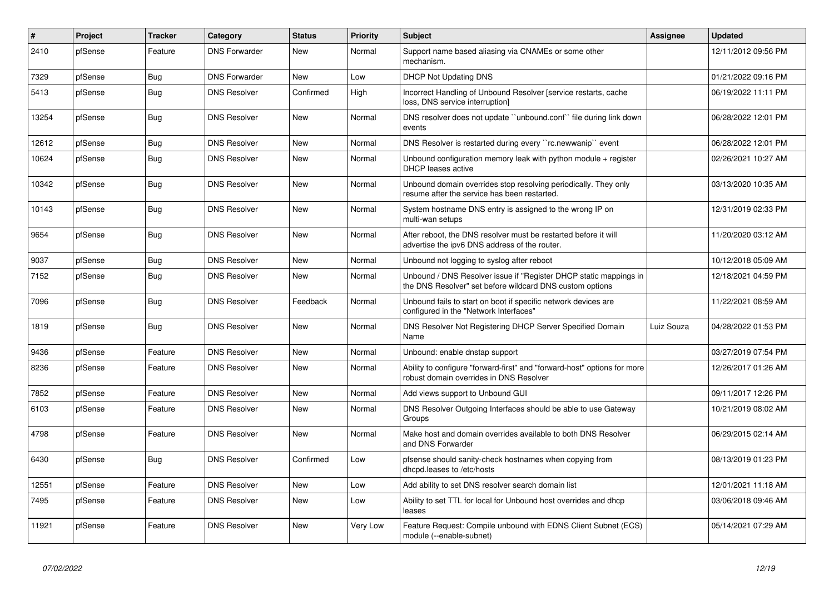| $\vert$ # | Project | <b>Tracker</b> | Category             | <b>Status</b> | <b>Priority</b> | <b>Subject</b>                                                                                                                | <b>Assignee</b> | <b>Updated</b>      |
|-----------|---------|----------------|----------------------|---------------|-----------------|-------------------------------------------------------------------------------------------------------------------------------|-----------------|---------------------|
| 2410      | pfSense | Feature        | <b>DNS Forwarder</b> | <b>New</b>    | Normal          | Support name based aliasing via CNAMEs or some other<br>mechanism.                                                            |                 | 12/11/2012 09:56 PM |
| 7329      | pfSense | <b>Bug</b>     | <b>DNS Forwarder</b> | New           | Low             | <b>DHCP Not Updating DNS</b>                                                                                                  |                 | 01/21/2022 09:16 PM |
| 5413      | pfSense | <b>Bug</b>     | <b>DNS Resolver</b>  | Confirmed     | High            | Incorrect Handling of Unbound Resolver [service restarts, cache<br>loss, DNS service interruption]                            |                 | 06/19/2022 11:11 PM |
| 13254     | pfSense | Bug            | <b>DNS Resolver</b>  | New           | Normal          | DNS resolver does not update "unbound.conf" file during link down<br>events                                                   |                 | 06/28/2022 12:01 PM |
| 12612     | pfSense | <b>Bug</b>     | <b>DNS Resolver</b>  | <b>New</b>    | Normal          | DNS Resolver is restarted during every "rc.newwanip" event                                                                    |                 | 06/28/2022 12:01 PM |
| 10624     | pfSense | Bug            | <b>DNS Resolver</b>  | <b>New</b>    | Normal          | Unbound configuration memory leak with python module + register<br><b>DHCP</b> leases active                                  |                 | 02/26/2021 10:27 AM |
| 10342     | pfSense | <b>Bug</b>     | <b>DNS Resolver</b>  | New           | Normal          | Unbound domain overrides stop resolving periodically. They only<br>resume after the service has been restarted.               |                 | 03/13/2020 10:35 AM |
| 10143     | pfSense | <b>Bug</b>     | <b>DNS Resolver</b>  | <b>New</b>    | Normal          | System hostname DNS entry is assigned to the wrong IP on<br>multi-wan setups                                                  |                 | 12/31/2019 02:33 PM |
| 9654      | pfSense | Bug            | <b>DNS Resolver</b>  | <b>New</b>    | Normal          | After reboot, the DNS resolver must be restarted before it will<br>advertise the ipv6 DNS address of the router.              |                 | 11/20/2020 03:12 AM |
| 9037      | pfSense | <b>Bug</b>     | <b>DNS Resolver</b>  | <b>New</b>    | Normal          | Unbound not logging to syslog after reboot                                                                                    |                 | 10/12/2018 05:09 AM |
| 7152      | pfSense | <b>Bug</b>     | <b>DNS Resolver</b>  | <b>New</b>    | Normal          | Unbound / DNS Resolver issue if "Register DHCP static mappings in<br>the DNS Resolver" set before wildcard DNS custom options |                 | 12/18/2021 04:59 PM |
| 7096      | pfSense | Bug            | <b>DNS Resolver</b>  | Feedback      | Normal          | Unbound fails to start on boot if specific network devices are<br>configured in the "Network Interfaces"                      |                 | 11/22/2021 08:59 AM |
| 1819      | pfSense | <b>Bug</b>     | <b>DNS Resolver</b>  | <b>New</b>    | Normal          | DNS Resolver Not Registering DHCP Server Specified Domain<br>Name                                                             | Luiz Souza      | 04/28/2022 01:53 PM |
| 9436      | pfSense | Feature        | <b>DNS Resolver</b>  | <b>New</b>    | Normal          | Unbound: enable dnstap support                                                                                                |                 | 03/27/2019 07:54 PM |
| 8236      | pfSense | Feature        | <b>DNS Resolver</b>  | <b>New</b>    | Normal          | Ability to configure "forward-first" and "forward-host" options for more<br>robust domain overrides in DNS Resolver           |                 | 12/26/2017 01:26 AM |
| 7852      | pfSense | Feature        | <b>DNS Resolver</b>  | <b>New</b>    | Normal          | Add views support to Unbound GUI                                                                                              |                 | 09/11/2017 12:26 PM |
| 6103      | pfSense | Feature        | <b>DNS Resolver</b>  | <b>New</b>    | Normal          | DNS Resolver Outgoing Interfaces should be able to use Gateway<br>Groups                                                      |                 | 10/21/2019 08:02 AM |
| 4798      | pfSense | Feature        | <b>DNS Resolver</b>  | <b>New</b>    | Normal          | Make host and domain overrides available to both DNS Resolver<br>and DNS Forwarder                                            |                 | 06/29/2015 02:14 AM |
| 6430      | pfSense | Bug            | <b>DNS Resolver</b>  | Confirmed     | Low             | pfsense should sanity-check hostnames when copying from<br>dhcpd.leases to /etc/hosts                                         |                 | 08/13/2019 01:23 PM |
| 12551     | pfSense | Feature        | <b>DNS Resolver</b>  | <b>New</b>    | Low             | Add ability to set DNS resolver search domain list                                                                            |                 | 12/01/2021 11:18 AM |
| 7495      | pfSense | Feature        | <b>DNS Resolver</b>  | <b>New</b>    | Low             | Ability to set TTL for local for Unbound host overrides and dhcp<br>leases                                                    |                 | 03/06/2018 09:46 AM |
| 11921     | pfSense | Feature        | <b>DNS Resolver</b>  | <b>New</b>    | Very Low        | Feature Request: Compile unbound with EDNS Client Subnet (ECS)<br>module (--enable-subnet)                                    |                 | 05/14/2021 07:29 AM |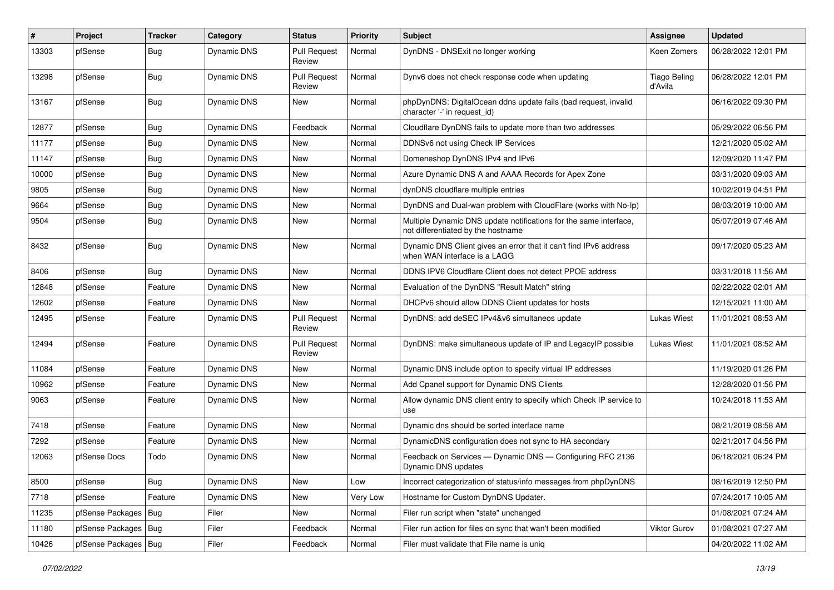| $\vert$ # | Project                | <b>Tracker</b> | Category           | <b>Status</b>                 | <b>Priority</b> | Subject                                                                                                 | Assignee                       | <b>Updated</b>      |
|-----------|------------------------|----------------|--------------------|-------------------------------|-----------------|---------------------------------------------------------------------------------------------------------|--------------------------------|---------------------|
| 13303     | pfSense                | <b>Bug</b>     | Dynamic DNS        | <b>Pull Request</b><br>Review | Normal          | DynDNS - DNSExit no longer working                                                                      | Koen Zomers                    | 06/28/2022 12:01 PM |
| 13298     | pfSense                | <b>Bug</b>     | Dynamic DNS        | <b>Pull Request</b><br>Review | Normal          | Dynv6 does not check response code when updating                                                        | <b>Tiago Beling</b><br>d'Avila | 06/28/2022 12:01 PM |
| 13167     | pfSense                | <b>Bug</b>     | <b>Dynamic DNS</b> | New                           | Normal          | phpDynDNS: DigitalOcean ddns update fails (bad request, invalid<br>character '-' in request id)         |                                | 06/16/2022 09:30 PM |
| 12877     | pfSense                | <b>Bug</b>     | Dynamic DNS        | Feedback                      | Normal          | Cloudflare DynDNS fails to update more than two addresses                                               |                                | 05/29/2022 06:56 PM |
| 11177     | pfSense                | Bug            | Dynamic DNS        | New                           | Normal          | DDNSv6 not using Check IP Services                                                                      |                                | 12/21/2020 05:02 AM |
| 11147     | pfSense                | <b>Bug</b>     | Dynamic DNS        | New                           | Normal          | Domeneshop DynDNS IPv4 and IPv6                                                                         |                                | 12/09/2020 11:47 PM |
| 10000     | pfSense                | Bug            | <b>Dynamic DNS</b> | New                           | Normal          | Azure Dynamic DNS A and AAAA Records for Apex Zone                                                      |                                | 03/31/2020 09:03 AM |
| 9805      | pfSense                | <b>Bug</b>     | Dynamic DNS        | New                           | Normal          | dynDNS cloudflare multiple entries                                                                      |                                | 10/02/2019 04:51 PM |
| 9664      | pfSense                | <b>Bug</b>     | Dynamic DNS        | New                           | Normal          | DynDNS and Dual-wan problem with CloudFlare (works with No-Ip)                                          |                                | 08/03/2019 10:00 AM |
| 9504      | pfSense                | Bug            | <b>Dynamic DNS</b> | New                           | Normal          | Multiple Dynamic DNS update notifications for the same interface,<br>not differentiated by the hostname |                                | 05/07/2019 07:46 AM |
| 8432      | pfSense                | <b>Bug</b>     | Dynamic DNS        | New                           | Normal          | Dynamic DNS Client gives an error that it can't find IPv6 address<br>when WAN interface is a LAGG       |                                | 09/17/2020 05:23 AM |
| 8406      | pfSense                | <b>Bug</b>     | Dynamic DNS        | New                           | Normal          | DDNS IPV6 Cloudflare Client does not detect PPOE address                                                |                                | 03/31/2018 11:56 AM |
| 12848     | pfSense                | Feature        | Dynamic DNS        | New                           | Normal          | Evaluation of the DynDNS "Result Match" string                                                          |                                | 02/22/2022 02:01 AM |
| 12602     | pfSense                | Feature        | Dynamic DNS        | New                           | Normal          | DHCPv6 should allow DDNS Client updates for hosts                                                       |                                | 12/15/2021 11:00 AM |
| 12495     | pfSense                | Feature        | Dynamic DNS        | <b>Pull Request</b><br>Review | Normal          | DynDNS: add deSEC IPv4&v6 simultaneos update                                                            | <b>Lukas Wiest</b>             | 11/01/2021 08:53 AM |
| 12494     | pfSense                | Feature        | Dynamic DNS        | <b>Pull Request</b><br>Review | Normal          | DynDNS: make simultaneous update of IP and LegacyIP possible                                            | Lukas Wiest                    | 11/01/2021 08:52 AM |
| 11084     | pfSense                | Feature        | Dynamic DNS        | New                           | Normal          | Dynamic DNS include option to specify virtual IP addresses                                              |                                | 11/19/2020 01:26 PM |
| 10962     | pfSense                | Feature        | Dynamic DNS        | New                           | Normal          | Add Cpanel support for Dynamic DNS Clients                                                              |                                | 12/28/2020 01:56 PM |
| 9063      | pfSense                | Feature        | Dynamic DNS        | New                           | Normal          | Allow dynamic DNS client entry to specify which Check IP service to<br>use                              |                                | 10/24/2018 11:53 AM |
| 7418      | pfSense                | Feature        | Dynamic DNS        | <b>New</b>                    | Normal          | Dynamic dns should be sorted interface name                                                             |                                | 08/21/2019 08:58 AM |
| 7292      | pfSense                | Feature        | Dynamic DNS        | New                           | Normal          | DynamicDNS configuration does not sync to HA secondary                                                  |                                | 02/21/2017 04:56 PM |
| 12063     | pfSense Docs           | Todo           | Dynamic DNS        | New                           | Normal          | Feedback on Services - Dynamic DNS - Configuring RFC 2136<br>Dynamic DNS updates                        |                                | 06/18/2021 06:24 PM |
| 8500      | pfSense                | <b>Bug</b>     | Dynamic DNS        | New                           | Low             | Incorrect categorization of status/info messages from phpDynDNS                                         |                                | 08/16/2019 12:50 PM |
| 7718      | pfSense                | Feature        | Dynamic DNS        | New                           | Very Low        | Hostname for Custom DynDNS Updater.                                                                     |                                | 07/24/2017 10:05 AM |
| 11235     | pfSense Packages       | Bug            | Filer              | New                           | Normal          | Filer run script when "state" unchanged                                                                 |                                | 01/08/2021 07:24 AM |
| 11180     | pfSense Packages   Bug |                | Filer              | Feedback                      | Normal          | Filer run action for files on sync that wan't been modified                                             | Viktor Gurov                   | 01/08/2021 07:27 AM |
| 10426     | pfSense Packages   Bug |                | Filer              | Feedback                      | Normal          | Filer must validate that File name is uniq                                                              |                                | 04/20/2022 11:02 AM |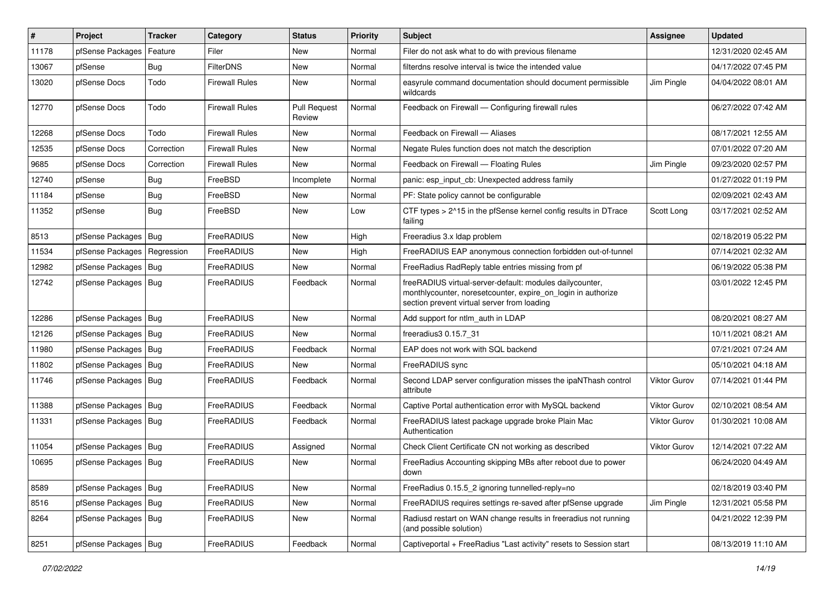| $\pmb{\#}$ | Project                       | <b>Tracker</b> | Category              | <b>Status</b>                 | <b>Priority</b> | Subject                                                                                                                                                                 | Assignee            | <b>Updated</b>      |
|------------|-------------------------------|----------------|-----------------------|-------------------------------|-----------------|-------------------------------------------------------------------------------------------------------------------------------------------------------------------------|---------------------|---------------------|
| 11178      | pfSense Packages              | Feature        | Filer                 | New                           | Normal          | Filer do not ask what to do with previous filename                                                                                                                      |                     | 12/31/2020 02:45 AM |
| 13067      | pfSense                       | Bug            | <b>FilterDNS</b>      | <b>New</b>                    | Normal          | filterdns resolve interval is twice the intended value                                                                                                                  |                     | 04/17/2022 07:45 PM |
| 13020      | pfSense Docs                  | Todo           | <b>Firewall Rules</b> | New                           | Normal          | easyrule command documentation should document permissible<br>wildcards                                                                                                 | Jim Pingle          | 04/04/2022 08:01 AM |
| 12770      | pfSense Docs                  | Todo           | <b>Firewall Rules</b> | <b>Pull Request</b><br>Review | Normal          | Feedback on Firewall - Configuring firewall rules                                                                                                                       |                     | 06/27/2022 07:42 AM |
| 12268      | pfSense Docs                  | Todo           | <b>Firewall Rules</b> | New                           | Normal          | Feedback on Firewall - Aliases                                                                                                                                          |                     | 08/17/2021 12:55 AM |
| 12535      | pfSense Docs                  | Correction     | <b>Firewall Rules</b> | New                           | Normal          | Negate Rules function does not match the description                                                                                                                    |                     | 07/01/2022 07:20 AM |
| 9685       | pfSense Docs                  | Correction     | <b>Firewall Rules</b> | New                           | Normal          | Feedback on Firewall - Floating Rules                                                                                                                                   | Jim Pingle          | 09/23/2020 02:57 PM |
| 12740      | pfSense                       | Bug            | FreeBSD               | Incomplete                    | Normal          | panic: esp_input_cb: Unexpected address family                                                                                                                          |                     | 01/27/2022 01:19 PM |
| 11184      | pfSense                       | Bug            | FreeBSD               | New                           | Normal          | PF: State policy cannot be configurable                                                                                                                                 |                     | 02/09/2021 02:43 AM |
| 11352      | pfSense                       | Bug            | FreeBSD               | New                           | Low             | CTF types > 2^15 in the pfSense kernel config results in DTrace<br>failing                                                                                              | Scott Long          | 03/17/2021 02:52 AM |
| 8513       | pfSense Packages              | Bug            | FreeRADIUS            | New                           | High            | Freeradius 3.x Idap problem                                                                                                                                             |                     | 02/18/2019 05:22 PM |
| 11534      | pfSense Packages   Regression |                | FreeRADIUS            | New                           | High            | FreeRADIUS EAP anonymous connection forbidden out-of-tunnel                                                                                                             |                     | 07/14/2021 02:32 AM |
| 12982      | pfSense Packages   Bug        |                | FreeRADIUS            | <b>New</b>                    | Normal          | FreeRadius RadReply table entries missing from pf                                                                                                                       |                     | 06/19/2022 05:38 PM |
| 12742      | pfSense Packages   Bug        |                | FreeRADIUS            | Feedback                      | Normal          | freeRADIUS virtual-server-default: modules dailycounter,<br>monthlycounter, noresetcounter, expire_on_login in authorize<br>section prevent virtual server from loading |                     | 03/01/2022 12:45 PM |
| 12286      | pfSense Packages   Bug        |                | <b>FreeRADIUS</b>     | <b>New</b>                    | Normal          | Add support for ntlm auth in LDAP                                                                                                                                       |                     | 08/20/2021 08:27 AM |
| 12126      | pfSense Packages   Bug        |                | FreeRADIUS            | <b>New</b>                    | Normal          | freeradius3 0.15.7 31                                                                                                                                                   |                     | 10/11/2021 08:21 AM |
| 11980      | pfSense Packages   Bug        |                | FreeRADIUS            | Feedback                      | Normal          | EAP does not work with SQL backend                                                                                                                                      |                     | 07/21/2021 07:24 AM |
| 11802      | pfSense Packages   Bug        |                | FreeRADIUS            | New                           | Normal          | FreeRADIUS sync                                                                                                                                                         |                     | 05/10/2021 04:18 AM |
| 11746      | pfSense Packages   Bug        |                | FreeRADIUS            | Feedback                      | Normal          | Second LDAP server configuration misses the ipaNThash control<br>attribute                                                                                              | Viktor Gurov        | 07/14/2021 01:44 PM |
| 11388      | pfSense Packages   Bug        |                | FreeRADIUS            | Feedback                      | Normal          | Captive Portal authentication error with MySQL backend                                                                                                                  | <b>Viktor Gurov</b> | 02/10/2021 08:54 AM |
| 11331      | pfSense Packages   Bug        |                | <b>FreeRADIUS</b>     | Feedback                      | Normal          | FreeRADIUS latest package upgrade broke Plain Mac<br>Authentication                                                                                                     | <b>Viktor Gurov</b> | 01/30/2021 10:08 AM |
| 11054      | pfSense Packages   Bug        |                | FreeRADIUS            | Assigned                      | Normal          | Check Client Certificate CN not working as described                                                                                                                    | <b>Viktor Gurov</b> | 12/14/2021 07:22 AM |
| 10695      | pfSense Packages   Bug        |                | FreeRADIUS            | New                           | Normal          | FreeRadius Accounting skipping MBs after reboot due to power<br>down                                                                                                    |                     | 06/24/2020 04:49 AM |
| 8589       | pfSense Packages   Bug        |                | FreeRADIUS            | New                           | Normal          | FreeRadius 0.15.5_2 ignoring tunnelled-reply=no                                                                                                                         |                     | 02/18/2019 03:40 PM |
| 8516       | pfSense Packages   Bug        |                | FreeRADIUS            | New                           | Normal          | FreeRADIUS requires settings re-saved after pfSense upgrade                                                                                                             | Jim Pingle          | 12/31/2021 05:58 PM |
| 8264       | pfSense Packages   Bug        |                | FreeRADIUS            | New                           | Normal          | Radiusd restart on WAN change results in freeradius not running<br>(and possible solution)                                                                              |                     | 04/21/2022 12:39 PM |
| 8251       | pfSense Packages   Bug        |                | FreeRADIUS            | Feedback                      | Normal          | Captiveportal + FreeRadius "Last activity" resets to Session start                                                                                                      |                     | 08/13/2019 11:10 AM |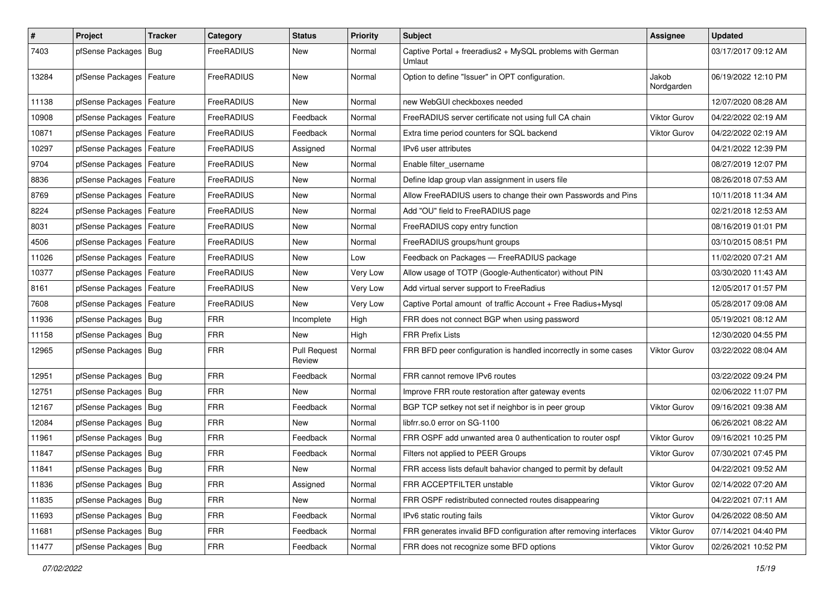| $\pmb{\#}$ | Project                    | <b>Tracker</b> | Category   | <b>Status</b>                 | <b>Priority</b> | <b>Subject</b>                                                      | <b>Assignee</b>     | <b>Updated</b>      |
|------------|----------------------------|----------------|------------|-------------------------------|-----------------|---------------------------------------------------------------------|---------------------|---------------------|
| 7403       | pfSense Packages           | Bug            | FreeRADIUS | New                           | Normal          | Captive Portal + freeradius2 + MySQL problems with German<br>Umlaut |                     | 03/17/2017 09:12 AM |
| 13284      | pfSense Packages   Feature |                | FreeRADIUS | New                           | Normal          | Option to define "Issuer" in OPT configuration.                     | Jakob<br>Nordgarden | 06/19/2022 12:10 PM |
| 11138      | pfSense Packages   Feature |                | FreeRADIUS | New                           | Normal          | new WebGUI checkboxes needed                                        |                     | 12/07/2020 08:28 AM |
| 10908      | pfSense Packages   Feature |                | FreeRADIUS | Feedback                      | Normal          | FreeRADIUS server certificate not using full CA chain               | <b>Viktor Gurov</b> | 04/22/2022 02:19 AM |
| 10871      | pfSense Packages   Feature |                | FreeRADIUS | Feedback                      | Normal          | Extra time period counters for SQL backend                          | Viktor Gurov        | 04/22/2022 02:19 AM |
| 10297      | pfSense Packages           | Feature        | FreeRADIUS | Assigned                      | Normal          | IPv6 user attributes                                                |                     | 04/21/2022 12:39 PM |
| 9704       | pfSense Packages   Feature |                | FreeRADIUS | New                           | Normal          | Enable filter username                                              |                     | 08/27/2019 12:07 PM |
| 8836       | pfSense Packages   Feature |                | FreeRADIUS | New                           | Normal          | Define Idap group vlan assignment in users file                     |                     | 08/26/2018 07:53 AM |
| 8769       | pfSense Packages   Feature |                | FreeRADIUS | New                           | Normal          | Allow FreeRADIUS users to change their own Passwords and Pins       |                     | 10/11/2018 11:34 AM |
| 8224       | pfSense Packages   Feature |                | FreeRADIUS | New                           | Normal          | Add "OU" field to FreeRADIUS page                                   |                     | 02/21/2018 12:53 AM |
| 8031       | pfSense Packages           | Feature        | FreeRADIUS | New                           | Normal          | FreeRADIUS copy entry function                                      |                     | 08/16/2019 01:01 PM |
| 4506       | pfSense Packages   Feature |                | FreeRADIUS | New                           | Normal          | FreeRADIUS groups/hunt groups                                       |                     | 03/10/2015 08:51 PM |
| 11026      | pfSense Packages   Feature |                | FreeRADIUS | New                           | Low             | Feedback on Packages - FreeRADIUS package                           |                     | 11/02/2020 07:21 AM |
| 10377      | pfSense Packages   Feature |                | FreeRADIUS | New                           | Very Low        | Allow usage of TOTP (Google-Authenticator) without PIN              |                     | 03/30/2020 11:43 AM |
| 8161       | pfSense Packages   Feature |                | FreeRADIUS | New                           | Very Low        | Add virtual server support to FreeRadius                            |                     | 12/05/2017 01:57 PM |
| 7608       | pfSense Packages   Feature |                | FreeRADIUS | New                           | Very Low        | Captive Portal amount of traffic Account + Free Radius+Mysql        |                     | 05/28/2017 09:08 AM |
| 11936      | pfSense Packages   Bug     |                | <b>FRR</b> | Incomplete                    | High            | FRR does not connect BGP when using password                        |                     | 05/19/2021 08:12 AM |
| 11158      | pfSense Packages   Bug     |                | <b>FRR</b> | New                           | High            | <b>FRR Prefix Lists</b>                                             |                     | 12/30/2020 04:55 PM |
| 12965      | pfSense Packages   Bug     |                | <b>FRR</b> | <b>Pull Request</b><br>Review | Normal          | FRR BFD peer configuration is handled incorrectly in some cases     | Viktor Gurov        | 03/22/2022 08:04 AM |
| 12951      | pfSense Packages   Bug     |                | <b>FRR</b> | Feedback                      | Normal          | FRR cannot remove IPv6 routes                                       |                     | 03/22/2022 09:24 PM |
| 12751      | pfSense Packages   Bug     |                | <b>FRR</b> | New                           | Normal          | Improve FRR route restoration after gateway events                  |                     | 02/06/2022 11:07 PM |
| 12167      | pfSense Packages   Bug     |                | <b>FRR</b> | Feedback                      | Normal          | BGP TCP setkey not set if neighbor is in peer group                 | <b>Viktor Gurov</b> | 09/16/2021 09:38 AM |
| 12084      | pfSense Packages   Bug     |                | <b>FRR</b> | New                           | Normal          | libfrr.so.0 error on SG-1100                                        |                     | 06/26/2021 08:22 AM |
| 11961      | pfSense Packages   Bug     |                | <b>FRR</b> | Feedback                      | Normal          | FRR OSPF add unwanted area 0 authentication to router ospf          | <b>Viktor Gurov</b> | 09/16/2021 10:25 PM |
| 11847      | pfSense Packages   Bug     |                | <b>FRR</b> | Feedback                      | Normal          | Filters not applied to PEER Groups                                  | <b>Viktor Gurov</b> | 07/30/2021 07:45 PM |
| 11841      | pfSense Packages   Bug     |                | FRR        | New                           | Normal          | FRR access lists default bahavior changed to permit by default      |                     | 04/22/2021 09:52 AM |
| 11836      | pfSense Packages   Bug     |                | <b>FRR</b> | Assigned                      | Normal          | FRR ACCEPTFILTER unstable                                           | Viktor Gurov        | 02/14/2022 07:20 AM |
| 11835      | pfSense Packages   Bug     |                | <b>FRR</b> | New                           | Normal          | FRR OSPF redistributed connected routes disappearing                |                     | 04/22/2021 07:11 AM |
| 11693      | pfSense Packages   Bug     |                | <b>FRR</b> | Feedback                      | Normal          | IPv6 static routing fails                                           | Viktor Gurov        | 04/26/2022 08:50 AM |
| 11681      | pfSense Packages   Bug     |                | <b>FRR</b> | Feedback                      | Normal          | FRR generates invalid BFD configuration after removing interfaces   | Viktor Gurov        | 07/14/2021 04:40 PM |
| 11477      | pfSense Packages   Bug     |                | <b>FRR</b> | Feedback                      | Normal          | FRR does not recognize some BFD options                             | Viktor Gurov        | 02/26/2021 10:52 PM |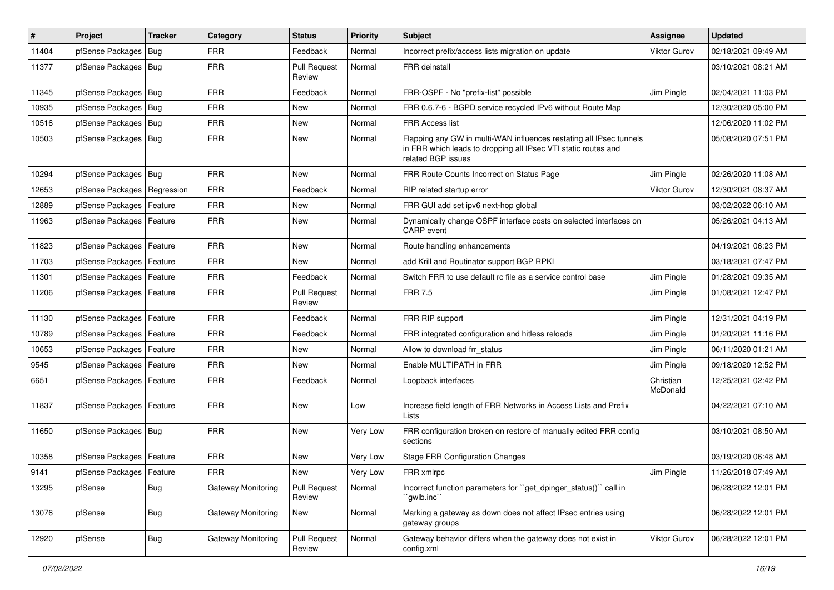| $\sharp$ | Project                    | <b>Tracker</b> | Category           | <b>Status</b>                 | <b>Priority</b> | <b>Subject</b>                                                                                                                                              | <b>Assignee</b>       | <b>Updated</b>      |
|----------|----------------------------|----------------|--------------------|-------------------------------|-----------------|-------------------------------------------------------------------------------------------------------------------------------------------------------------|-----------------------|---------------------|
| 11404    | pfSense Packages           | Bug            | <b>FRR</b>         | Feedback                      | Normal          | Incorrect prefix/access lists migration on update                                                                                                           | <b>Viktor Gurov</b>   | 02/18/2021 09:49 AM |
| 11377    | pfSense Packages   Bug     |                | <b>FRR</b>         | <b>Pull Request</b><br>Review | Normal          | FRR deinstall                                                                                                                                               |                       | 03/10/2021 08:21 AM |
| 11345    | pfSense Packages   Bug     |                | <b>FRR</b>         | Feedback                      | Normal          | FRR-OSPF - No "prefix-list" possible                                                                                                                        | Jim Pingle            | 02/04/2021 11:03 PM |
| 10935    | pfSense Packages           | Bug            | <b>FRR</b>         | New                           | Normal          | FRR 0.6.7-6 - BGPD service recycled IPv6 without Route Map                                                                                                  |                       | 12/30/2020 05:00 PM |
| 10516    | pfSense Packages           | Bug            | <b>FRR</b>         | <b>New</b>                    | Normal          | <b>FRR Access list</b>                                                                                                                                      |                       | 12/06/2020 11:02 PM |
| 10503    | pfSense Packages   Bug     |                | <b>FRR</b>         | <b>New</b>                    | Normal          | Flapping any GW in multi-WAN influences restating all IPsec tunnels<br>in FRR which leads to dropping all IPsec VTI static routes and<br>related BGP issues |                       | 05/08/2020 07:51 PM |
| 10294    | pfSense Packages   Bug     |                | <b>FRR</b>         | <b>New</b>                    | Normal          | FRR Route Counts Incorrect on Status Page                                                                                                                   | Jim Pingle            | 02/26/2020 11:08 AM |
| 12653    | pfSense Packages           | Regression     | <b>FRR</b>         | Feedback                      | Normal          | RIP related startup error                                                                                                                                   | Viktor Gurov          | 12/30/2021 08:37 AM |
| 12889    | pfSense Packages   Feature |                | <b>FRR</b>         | <b>New</b>                    | Normal          | FRR GUI add set ipv6 next-hop global                                                                                                                        |                       | 03/02/2022 06:10 AM |
| 11963    | pfSense Packages   Feature |                | <b>FRR</b>         | New                           | Normal          | Dynamically change OSPF interface costs on selected interfaces on<br>CARP event                                                                             |                       | 05/26/2021 04:13 AM |
| 11823    | pfSense Packages   Feature |                | <b>FRR</b>         | <b>New</b>                    | Normal          | Route handling enhancements                                                                                                                                 |                       | 04/19/2021 06:23 PM |
| 11703    | pfSense Packages           | Feature        | <b>FRR</b>         | <b>New</b>                    | Normal          | add Krill and Routinator support BGP RPKI                                                                                                                   |                       | 03/18/2021 07:47 PM |
| 11301    | pfSense Packages           | Feature        | <b>FRR</b>         | Feedback                      | Normal          | Switch FRR to use default rc file as a service control base                                                                                                 | Jim Pingle            | 01/28/2021 09:35 AM |
| 11206    | pfSense Packages   Feature |                | <b>FRR</b>         | <b>Pull Request</b><br>Review | Normal          | <b>FRR 7.5</b>                                                                                                                                              | Jim Pingle            | 01/08/2021 12:47 PM |
| 11130    | pfSense Packages   Feature |                | <b>FRR</b>         | Feedback                      | Normal          | FRR RIP support                                                                                                                                             | Jim Pingle            | 12/31/2021 04:19 PM |
| 10789    | pfSense Packages           | Feature        | <b>FRR</b>         | Feedback                      | Normal          | FRR integrated configuration and hitless reloads                                                                                                            | Jim Pingle            | 01/20/2021 11:16 PM |
| 10653    | pfSense Packages           | Feature        | <b>FRR</b>         | New                           | Normal          | Allow to download frr status                                                                                                                                | Jim Pingle            | 06/11/2020 01:21 AM |
| 9545     | pfSense Packages   Feature |                | <b>FRR</b>         | New                           | Normal          | Enable MULTIPATH in FRR                                                                                                                                     | Jim Pingle            | 09/18/2020 12:52 PM |
| 6651     | pfSense Packages   Feature |                | <b>FRR</b>         | Feedback                      | Normal          | Loopback interfaces                                                                                                                                         | Christian<br>McDonald | 12/25/2021 02:42 PM |
| 11837    | pfSense Packages   Feature |                | <b>FRR</b>         | <b>New</b>                    | Low             | Increase field length of FRR Networks in Access Lists and Prefix<br>Lists                                                                                   |                       | 04/22/2021 07:10 AM |
| 11650    | pfSense Packages   Bug     |                | <b>FRR</b>         | New                           | Very Low        | FRR configuration broken on restore of manually edited FRR config<br>sections                                                                               |                       | 03/10/2021 08:50 AM |
| 10358    | pfSense Packages   Feature |                | <b>FRR</b>         | New                           | Very Low        | <b>Stage FRR Configuration Changes</b>                                                                                                                      |                       | 03/19/2020 06:48 AM |
| 9141     | pfSense Packages   Feature |                | <b>FRR</b>         | New                           | Very Low        | FRR xmlrpc                                                                                                                                                  | Jim Pingle            | 11/26/2018 07:49 AM |
| 13295    | pfSense                    | <b>Bug</b>     | Gateway Monitoring | <b>Pull Request</b><br>Review | Normal          | Incorrect function parameters for "get_dpinger_status()" call in<br>`qwlb.inc``                                                                             |                       | 06/28/2022 12:01 PM |
| 13076    | pfSense                    | Bug            | Gateway Monitoring | New                           | Normal          | Marking a gateway as down does not affect IPsec entries using<br>gateway groups                                                                             |                       | 06/28/2022 12:01 PM |
| 12920    | pfSense                    | Bug            | Gateway Monitoring | <b>Pull Request</b><br>Review | Normal          | Gateway behavior differs when the gateway does not exist in<br>config.xml                                                                                   | Viktor Gurov          | 06/28/2022 12:01 PM |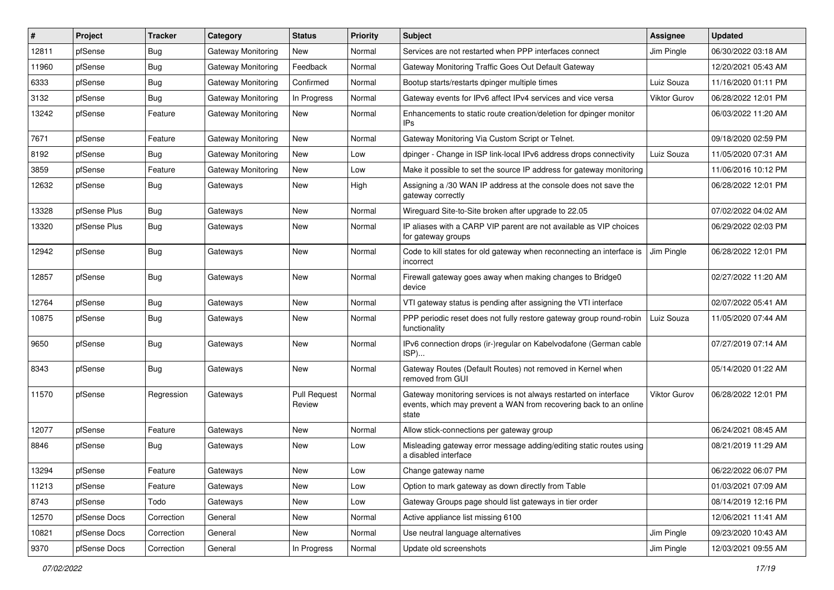| ∦     | Project      | <b>Tracker</b> | Category                  | <b>Status</b>                 | <b>Priority</b> | Subject                                                                                                                                        | Assignee            | <b>Updated</b>      |
|-------|--------------|----------------|---------------------------|-------------------------------|-----------------|------------------------------------------------------------------------------------------------------------------------------------------------|---------------------|---------------------|
| 12811 | pfSense      | <b>Bug</b>     | <b>Gateway Monitoring</b> | New                           | Normal          | Services are not restarted when PPP interfaces connect                                                                                         | Jim Pingle          | 06/30/2022 03:18 AM |
| 11960 | pfSense      | <b>Bug</b>     | Gateway Monitoring        | Feedback                      | Normal          | Gateway Monitoring Traffic Goes Out Default Gateway                                                                                            |                     | 12/20/2021 05:43 AM |
| 6333  | pfSense      | Bug            | Gateway Monitoring        | Confirmed                     | Normal          | Bootup starts/restarts dpinger multiple times                                                                                                  | Luiz Souza          | 11/16/2020 01:11 PM |
| 3132  | pfSense      | <b>Bug</b>     | Gateway Monitoring        | In Progress                   | Normal          | Gateway events for IPv6 affect IPv4 services and vice versa                                                                                    | <b>Viktor Gurov</b> | 06/28/2022 12:01 PM |
| 13242 | pfSense      | Feature        | Gateway Monitoring        | New                           | Normal          | Enhancements to static route creation/deletion for dpinger monitor<br>IP <sub>s</sub>                                                          |                     | 06/03/2022 11:20 AM |
| 7671  | pfSense      | Feature        | Gateway Monitoring        | New                           | Normal          | Gateway Monitoring Via Custom Script or Telnet.                                                                                                |                     | 09/18/2020 02:59 PM |
| 8192  | pfSense      | Bug            | <b>Gateway Monitoring</b> | New                           | Low             | dpinger - Change in ISP link-local IPv6 address drops connectivity                                                                             | Luiz Souza          | 11/05/2020 07:31 AM |
| 3859  | pfSense      | Feature        | <b>Gateway Monitoring</b> | New                           | Low             | Make it possible to set the source IP address for gateway monitoring                                                                           |                     | 11/06/2016 10:12 PM |
| 12632 | pfSense      | <b>Bug</b>     | Gateways                  | New                           | High            | Assigning a /30 WAN IP address at the console does not save the<br>gateway correctly                                                           |                     | 06/28/2022 12:01 PM |
| 13328 | pfSense Plus | Bug            | Gateways                  | New                           | Normal          | Wireguard Site-to-Site broken after upgrade to 22.05                                                                                           |                     | 07/02/2022 04:02 AM |
| 13320 | pfSense Plus | Bug            | Gateways                  | New                           | Normal          | IP aliases with a CARP VIP parent are not available as VIP choices<br>for gateway groups                                                       |                     | 06/29/2022 02:03 PM |
| 12942 | pfSense      | Bug            | Gateways                  | New                           | Normal          | Code to kill states for old gateway when reconnecting an interface is<br>incorrect                                                             | Jim Pingle          | 06/28/2022 12:01 PM |
| 12857 | pfSense      | Bug            | Gateways                  | New                           | Normal          | Firewall gateway goes away when making changes to Bridge0<br>device                                                                            |                     | 02/27/2022 11:20 AM |
| 12764 | pfSense      | Bug            | Gateways                  | <b>New</b>                    | Normal          | VTI gateway status is pending after assigning the VTI interface                                                                                |                     | 02/07/2022 05:41 AM |
| 10875 | pfSense      | <b>Bug</b>     | Gateways                  | New                           | Normal          | PPP periodic reset does not fully restore gateway group round-robin<br>functionality                                                           | Luiz Souza          | 11/05/2020 07:44 AM |
| 9650  | pfSense      | Bug            | Gateways                  | New                           | Normal          | IPv6 connection drops (ir-)regular on Kabelvodafone (German cable<br>ISP)                                                                      |                     | 07/27/2019 07:14 AM |
| 8343  | pfSense      | Bug            | Gateways                  | New                           | Normal          | Gateway Routes (Default Routes) not removed in Kernel when<br>removed from GUI                                                                 |                     | 05/14/2020 01:22 AM |
| 11570 | pfSense      | Regression     | Gateways                  | <b>Pull Request</b><br>Review | Normal          | Gateway monitoring services is not always restarted on interface<br>events, which may prevent a WAN from recovering back to an online<br>state | <b>Viktor Gurov</b> | 06/28/2022 12:01 PM |
| 12077 | pfSense      | Feature        | Gateways                  | New                           | Normal          | Allow stick-connections per gateway group                                                                                                      |                     | 06/24/2021 08:45 AM |
| 8846  | pfSense      | Bug            | Gateways                  | New                           | Low             | Misleading gateway error message adding/editing static routes using<br>a disabled interface                                                    |                     | 08/21/2019 11:29 AM |
| 13294 | pfSense      | Feature        | Gateways                  | New                           | Low             | Change gateway name                                                                                                                            |                     | 06/22/2022 06:07 PM |
| 11213 | pfSense      | Feature        | Gateways                  | New                           | Low             | Option to mark gateway as down directly from Table                                                                                             |                     | 01/03/2021 07:09 AM |
| 8743  | pfSense      | Todo           | Gateways                  | New                           | Low             | Gateway Groups page should list gateways in tier order                                                                                         |                     | 08/14/2019 12:16 PM |
| 12570 | pfSense Docs | Correction     | General                   | New                           | Normal          | Active appliance list missing 6100                                                                                                             |                     | 12/06/2021 11:41 AM |
| 10821 | pfSense Docs | Correction     | General                   | New                           | Normal          | Use neutral language alternatives                                                                                                              | Jim Pingle          | 09/23/2020 10:43 AM |
| 9370  | pfSense Docs | Correction     | General                   | In Progress                   | Normal          | Update old screenshots                                                                                                                         | Jim Pingle          | 12/03/2021 09:55 AM |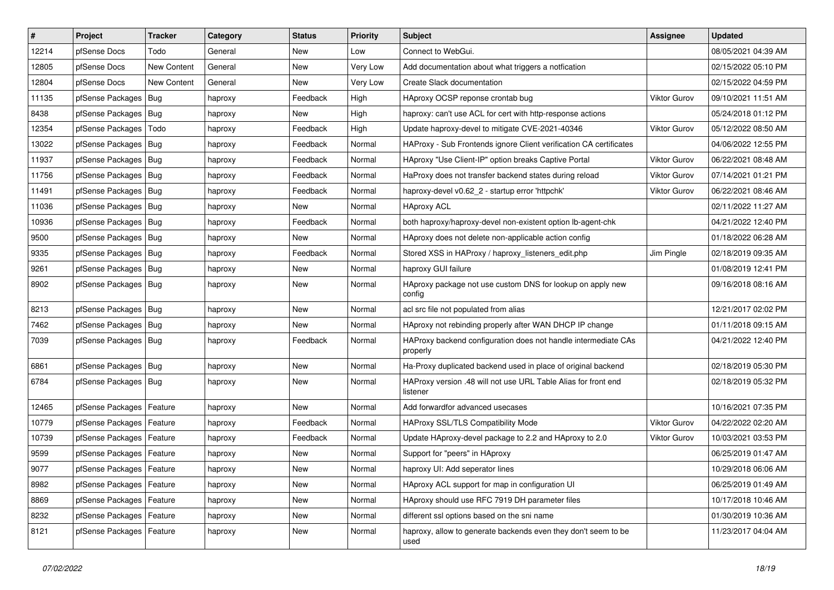| $\vert$ # | Project                    | <b>Tracker</b> | Category | <b>Status</b> | <b>Priority</b> | Subject                                                                    | <b>Assignee</b>     | <b>Updated</b>      |
|-----------|----------------------------|----------------|----------|---------------|-----------------|----------------------------------------------------------------------------|---------------------|---------------------|
| 12214     | pfSense Docs               | Todo           | General  | New           | Low             | Connect to WebGui.                                                         |                     | 08/05/2021 04:39 AM |
| 12805     | pfSense Docs               | New Content    | General  | <b>New</b>    | Very Low        | Add documentation about what triggers a notfication                        |                     | 02/15/2022 05:10 PM |
| 12804     | pfSense Docs               | New Content    | General  | New           | Very Low        | Create Slack documentation                                                 |                     | 02/15/2022 04:59 PM |
| 11135     | pfSense Packages   Bug     |                | haproxy  | Feedback      | High            | HAproxy OCSP reponse crontab bug                                           | <b>Viktor Gurov</b> | 09/10/2021 11:51 AM |
| 8438      | pfSense Packages           | Bug            | haproxy  | New           | High            | haproxy: can't use ACL for cert with http-response actions                 |                     | 05/24/2018 01:12 PM |
| 12354     | pfSense Packages           | Todo           | haproxy  | Feedback      | High            | Update haproxy-devel to mitigate CVE-2021-40346                            | <b>Viktor Gurov</b> | 05/12/2022 08:50 AM |
| 13022     | pfSense Packages   Bug     |                | haproxy  | Feedback      | Normal          | HAProxy - Sub Frontends ignore Client verification CA certificates         |                     | 04/06/2022 12:55 PM |
| 11937     | pfSense Packages           | Bug            | haproxy  | Feedback      | Normal          | HAproxy "Use Client-IP" option breaks Captive Portal                       | <b>Viktor Gurov</b> | 06/22/2021 08:48 AM |
| 11756     | pfSense Packages           | Bug            | haproxy  | Feedback      | Normal          | HaProxy does not transfer backend states during reload                     | <b>Viktor Gurov</b> | 07/14/2021 01:21 PM |
| 11491     | pfSense Packages           | Bug            | haproxy  | Feedback      | Normal          | haproxy-devel v0.62_2 - startup error 'httpchk'                            | <b>Viktor Gurov</b> | 06/22/2021 08:46 AM |
| 11036     | pfSense Packages           | Bug            | haproxy  | New           | Normal          | <b>HAproxy ACL</b>                                                         |                     | 02/11/2022 11:27 AM |
| 10936     | pfSense Packages   Bug     |                | haproxy  | Feedback      | Normal          | both haproxy/haproxy-devel non-existent option lb-agent-chk                |                     | 04/21/2022 12:40 PM |
| 9500      | pfSense Packages           | <b>Bug</b>     | haproxy  | <b>New</b>    | Normal          | HAproxy does not delete non-applicable action config                       |                     | 01/18/2022 06:28 AM |
| 9335      | pfSense Packages           | Bug            | haproxy  | Feedback      | Normal          | Stored XSS in HAProxy / haproxy listeners edit.php                         | Jim Pingle          | 02/18/2019 09:35 AM |
| 9261      | pfSense Packages           | Bug            | haproxy  | <b>New</b>    | Normal          | haproxy GUI failure                                                        |                     | 01/08/2019 12:41 PM |
| 8902      | pfSense Packages   Bug     |                | haproxy  | New           | Normal          | HAproxy package not use custom DNS for lookup on apply new<br>config       |                     | 09/16/2018 08:16 AM |
| 8213      | pfSense Packages           | Bug            | haproxy  | New           | Normal          | acl src file not populated from alias                                      |                     | 12/21/2017 02:02 PM |
| 7462      | pfSense Packages           | Bug            | haproxy  | <b>New</b>    | Normal          | HAproxy not rebinding properly after WAN DHCP IP change                    |                     | 01/11/2018 09:15 AM |
| 7039      | pfSense Packages   Bug     |                | haproxy  | Feedback      | Normal          | HAProxy backend configuration does not handle intermediate CAs<br>properly |                     | 04/21/2022 12:40 PM |
| 6861      | pfSense Packages   Bug     |                | haproxy  | New           | Normal          | Ha-Proxy duplicated backend used in place of original backend              |                     | 02/18/2019 05:30 PM |
| 6784      | pfSense Packages   Bug     |                | haproxy  | <b>New</b>    | Normal          | HAProxy version .48 will not use URL Table Alias for front end<br>listener |                     | 02/18/2019 05:32 PM |
| 12465     | pfSense Packages           | Feature        | haproxy  | <b>New</b>    | Normal          | Add forwardfor advanced usecases                                           |                     | 10/16/2021 07:35 PM |
| 10779     | pfSense Packages           | Feature        | haproxy  | Feedback      | Normal          | HAProxy SSL/TLS Compatibility Mode                                         | Viktor Gurov        | 04/22/2022 02:20 AM |
| 10739     | pfSense Packages           | Feature        | haproxy  | Feedback      | Normal          | Update HAproxy-devel package to 2.2 and HAproxy to 2.0                     | Viktor Gurov        | 10/03/2021 03:53 PM |
| 9599      | pfSense Packages   Feature |                | haproxy  | New           | Normal          | Support for "peers" in HAproxy                                             |                     | 06/25/2019 01:47 AM |
| 9077      | pfSense Packages   Feature |                | haproxy  | New           | Normal          | haproxy UI: Add seperator lines                                            |                     | 10/29/2018 06:06 AM |
| 8982      | pfSense Packages   Feature |                | haproxy  | New           | Normal          | HAproxy ACL support for map in configuration UI                            |                     | 06/25/2019 01:49 AM |
| 8869      | pfSense Packages           | Feature        | haproxy  | New           | Normal          | HAproxy should use RFC 7919 DH parameter files                             |                     | 10/17/2018 10:46 AM |
| 8232      | pfSense Packages   Feature |                | haproxy  | New           | Normal          | different ssl options based on the sni name                                |                     | 01/30/2019 10:36 AM |
| 8121      | pfSense Packages   Feature |                | haproxy  | New           | Normal          | haproxy, allow to generate backends even they don't seem to be<br>used     |                     | 11/23/2017 04:04 AM |